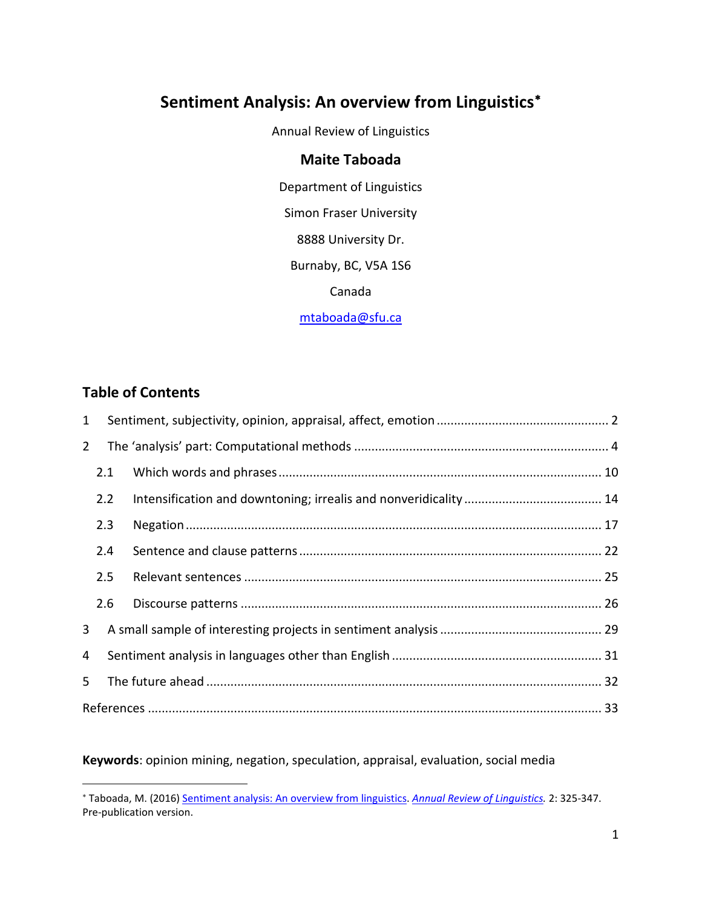# **Sentiment Analysis: An overview from Linguistics**[∗](#page-0-0)

Annual Review of Linguistics

## **Maite Taboada**

Department of Linguistics Simon Fraser University 8888 University Dr. Burnaby, BC, V5A 1S6 Canada [mtaboada@sfu.ca](mailto:mtaboada@sfu.ca)

# **Table of Contents**

 $\overline{a}$ 

| $\mathbf{1}$ |     |  |  |  |  |  |
|--------------|-----|--|--|--|--|--|
| $2^{\circ}$  |     |  |  |  |  |  |
|              | 2.1 |  |  |  |  |  |
|              | 2.2 |  |  |  |  |  |
|              | 2.3 |  |  |  |  |  |
|              | 2.4 |  |  |  |  |  |
|              | 2.5 |  |  |  |  |  |
|              | 2.6 |  |  |  |  |  |
| $\mathbf{3}$ |     |  |  |  |  |  |
| 4            |     |  |  |  |  |  |
| 5            |     |  |  |  |  |  |
|              |     |  |  |  |  |  |

**Keywords**: opinion mining, negation, speculation, appraisal, evaluation, social media

<span id="page-0-0"></span><sup>∗</sup> Taboada, M. (2016) [Sentiment analysis: An overview from linguistics.](http://arjournals.annualreviews.org/eprint/MhDC2JcvKY6d9RFsmGHm/full/10.1146/annurev-linguistics-011415-040518) *[Annual Review of Linguistics.](http://www.annualreviews.org/journal/linguistics)* 2: 325-347. Pre-publication version.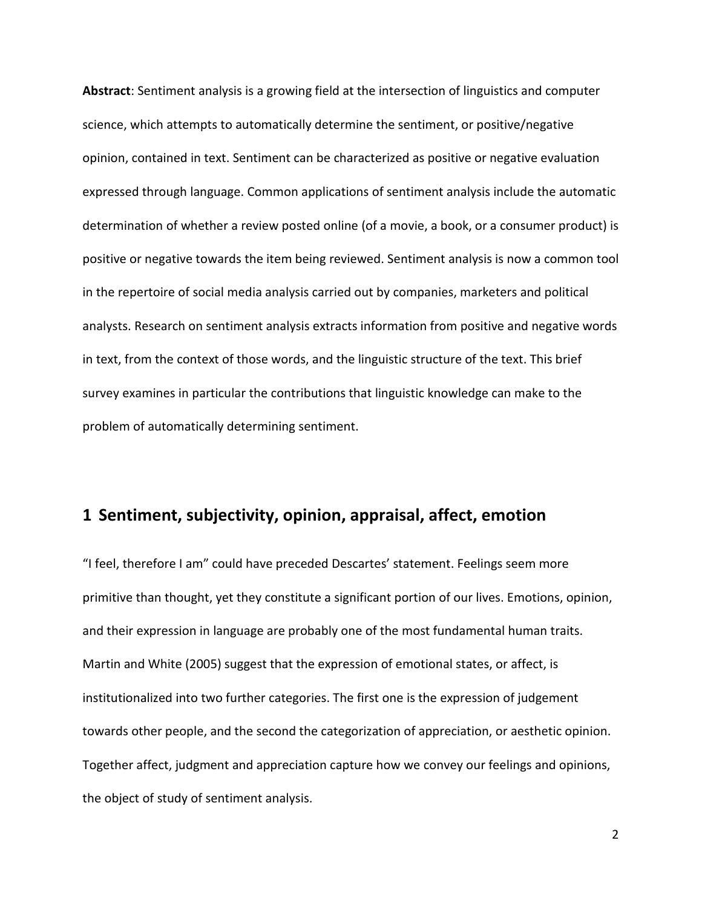**Abstract**: Sentiment analysis is a growing field at the intersection of linguistics and computer science, which attempts to automatically determine the sentiment, or positive/negative opinion, contained in text. Sentiment can be characterized as positive or negative evaluation expressed through language. Common applications of sentiment analysis include the automatic determination of whether a review posted online (of a movie, a book, or a consumer product) is positive or negative towards the item being reviewed. Sentiment analysis is now a common tool in the repertoire of social media analysis carried out by companies, marketers and political analysts. Research on sentiment analysis extracts information from positive and negative words in text, from the context of those words, and the linguistic structure of the text. This brief survey examines in particular the contributions that linguistic knowledge can make to the problem of automatically determining sentiment.

## <span id="page-1-0"></span>**1 Sentiment, subjectivity, opinion, appraisal, affect, emotion**

"I feel, therefore I am" could have preceded Descartes' statement. Feelings seem more primitive than thought, yet they constitute a significant portion of our lives. Emotions, opinion, and their expression in language are probably one of the most fundamental human traits. Martin and White (2005) suggest that the expression of emotional states, or affect, is institutionalized into two further categories. The first one is the expression of judgement towards other people, and the second the categorization of appreciation, or aesthetic opinion. Together affect, judgment and appreciation capture how we convey our feelings and opinions, the object of study of sentiment analysis.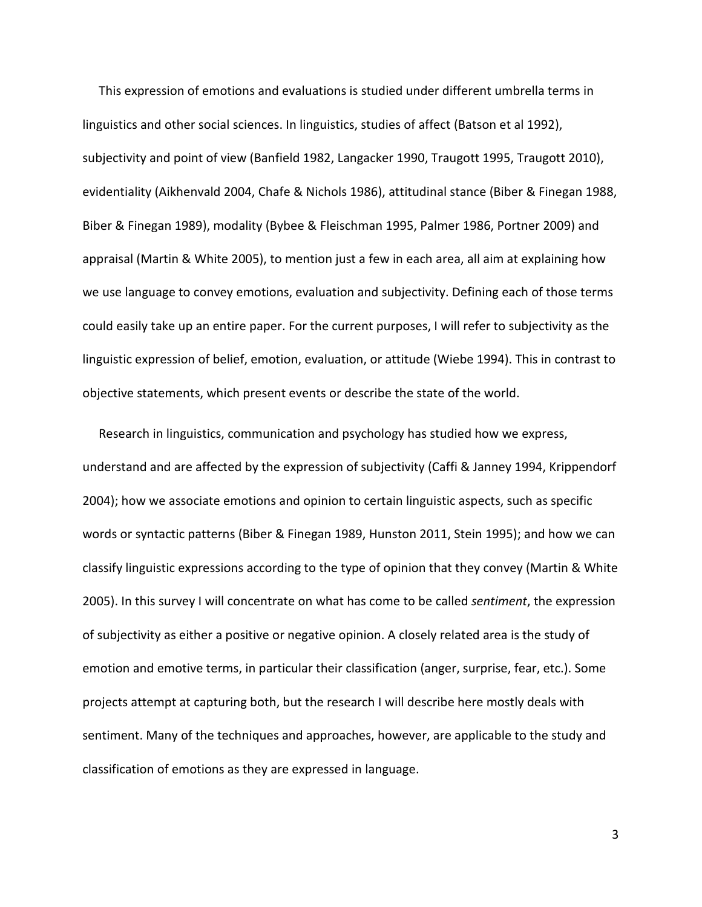This expression of emotions and evaluations is studied under different umbrella terms in linguistics and other social sciences. In linguistics, studies of affect (Batson et al 1992), subjectivity and point of view (Banfield 1982, Langacker 1990, Traugott 1995, Traugott 2010), evidentiality (Aikhenvald 2004, Chafe & Nichols 1986), attitudinal stance (Biber & Finegan 1988, Biber & Finegan 1989), modality (Bybee & Fleischman 1995, Palmer 1986, Portner 2009) and appraisal (Martin & White 2005), to mention just a few in each area, all aim at explaining how we use language to convey emotions, evaluation and subjectivity. Defining each of those terms could easily take up an entire paper. For the current purposes, I will refer to subjectivity as the linguistic expression of belief, emotion, evaluation, or attitude (Wiebe 1994). This in contrast to objective statements, which present events or describe the state of the world.

Research in linguistics, communication and psychology has studied how we express, understand and are affected by the expression of subjectivity (Caffi & Janney 1994, Krippendorf 2004); how we associate emotions and opinion to certain linguistic aspects, such as specific words or syntactic patterns (Biber & Finegan 1989, Hunston 2011, Stein 1995); and how we can classify linguistic expressions according to the type of opinion that they convey (Martin & White 2005). In this survey I will concentrate on what has come to be called *sentiment*, the expression of subjectivity as either a positive or negative opinion. A closely related area is the study of emotion and emotive terms, in particular their classification (anger, surprise, fear, etc.). Some projects attempt at capturing both, but the research I will describe here mostly deals with sentiment. Many of the techniques and approaches, however, are applicable to the study and classification of emotions as they are expressed in language.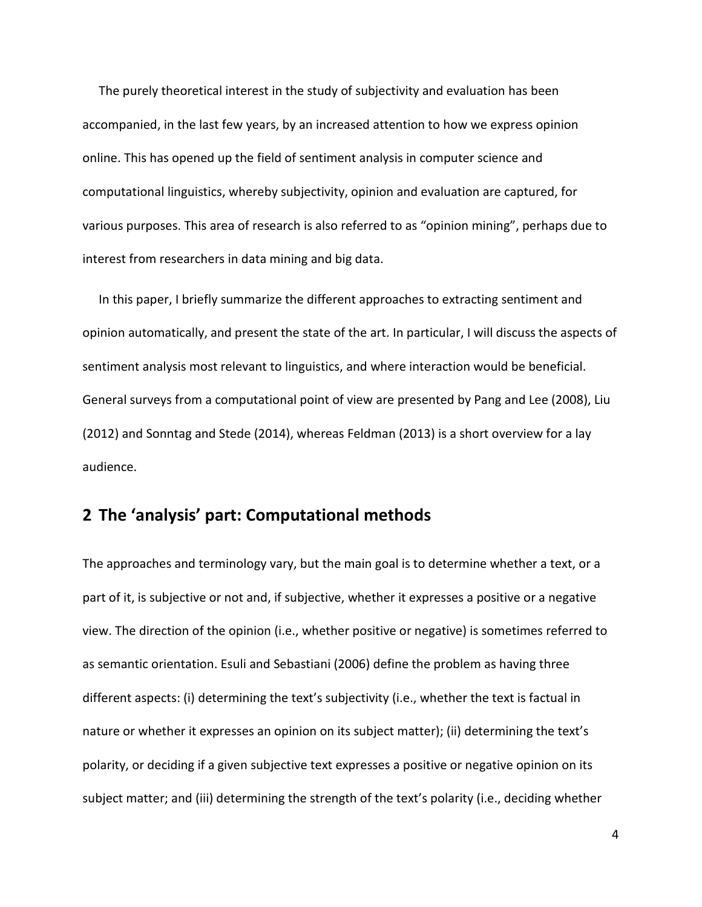The purely theoretical interest in the study of subjectivity and evaluation has been accompanied, in the last few years, by an increased attention to how we express opinion online. This has opened up the field of sentiment analysis in computer science and computational linguistics, whereby subjectivity, opinion and evaluation are captured, for various purposes. This area of research is also referred to as "opinion mining", perhaps due to interest from researchers in data mining and big data.

In this paper, I briefly summarize the different approaches to extracting sentiment and opinion automatically, and present the state of the art. In particular, I will discuss the aspects of sentiment analysis most relevant to linguistics, and where interaction would be beneficial. General surveys from a computational point of view are presented by Pang and Lee (2008), Liu (2012) and Sonntag and Stede (2014), whereas Feldman (2013) is a short overview for a lay audience.

# <span id="page-3-0"></span>**2 The 'analysis' part: Computational methods**

The approaches and terminology vary, but the main goal is to determine whether a text, or a part of it, is subjective or not and, if subjective, whether it expresses a positive or a negative view. The direction of the opinion (i.e., whether positive or negative) is sometimes referred to as semantic orientation. Esuli and Sebastiani (2006) define the problem as having three different aspects: (i) determining the text's subjectivity (i.e., whether the text is factual in nature or whether it expresses an opinion on its subject matter); (ii) determining the text's polarity, or deciding if a given subjective text expresses a positive or negative opinion on its subject matter; and (iii) determining the strength of the text's polarity (i.e., deciding whether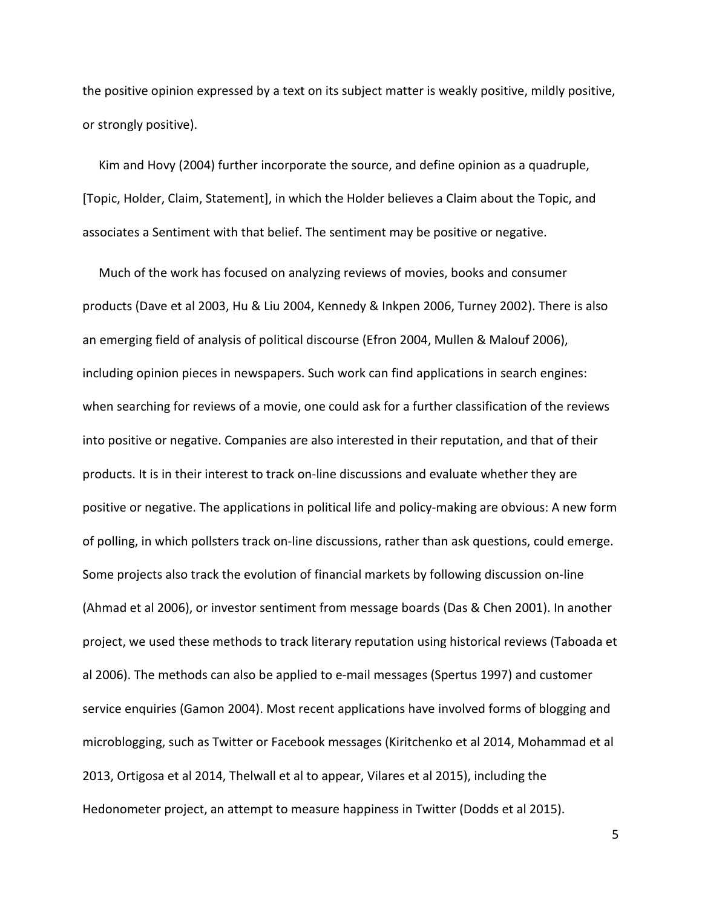the positive opinion expressed by a text on its subject matter is weakly positive, mildly positive, or strongly positive).

Kim and Hovy (2004) further incorporate the source, and define opinion as a quadruple, [Topic, Holder, Claim, Statement], in which the Holder believes a Claim about the Topic, and associates a Sentiment with that belief. The sentiment may be positive or negative.

Much of the work has focused on analyzing reviews of movies, books and consumer products (Dave et al 2003, Hu & Liu 2004, Kennedy & Inkpen 2006, Turney 2002). There is also an emerging field of analysis of political discourse (Efron 2004, Mullen & Malouf 2006), including opinion pieces in newspapers. Such work can find applications in search engines: when searching for reviews of a movie, one could ask for a further classification of the reviews into positive or negative. Companies are also interested in their reputation, and that of their products. It is in their interest to track on-line discussions and evaluate whether they are positive or negative. The applications in political life and policy-making are obvious: A new form of polling, in which pollsters track on-line discussions, rather than ask questions, could emerge. Some projects also track the evolution of financial markets by following discussion on-line (Ahmad et al 2006), or investor sentiment from message boards (Das & Chen 2001). In another project, we used these methods to track literary reputation using historical reviews (Taboada et al 2006). The methods can also be applied to e-mail messages (Spertus 1997) and customer service enquiries (Gamon 2004). Most recent applications have involved forms of blogging and microblogging, such as Twitter or Facebook messages (Kiritchenko et al 2014, Mohammad et al 2013, Ortigosa et al 2014, Thelwall et al to appear, Vilares et al 2015), including the Hedonometer project, an attempt to measure happiness in Twitter (Dodds et al 2015).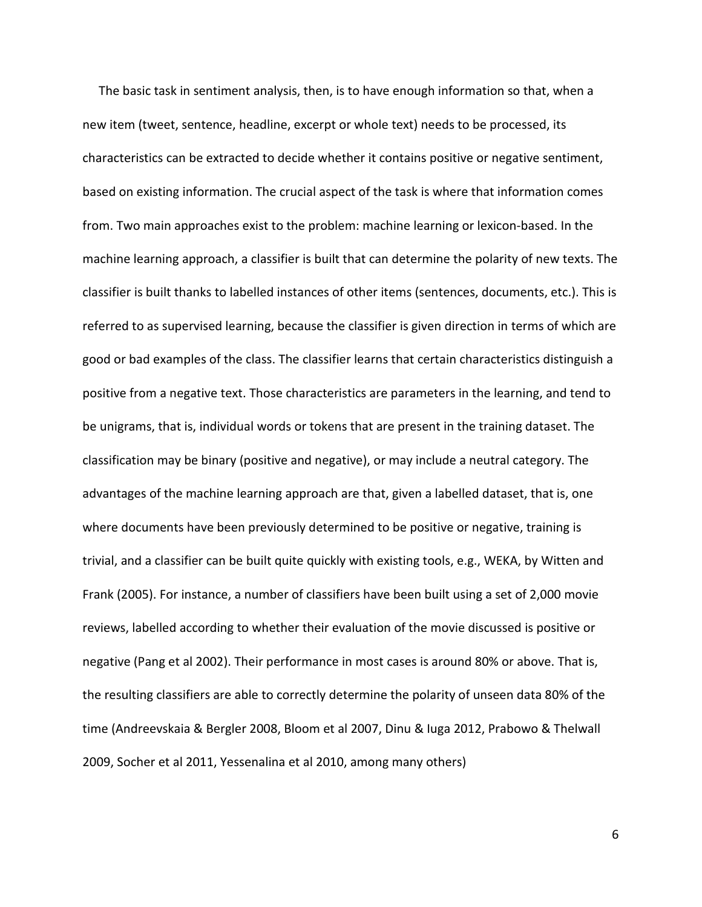The basic task in sentiment analysis, then, is to have enough information so that, when a new item (tweet, sentence, headline, excerpt or whole text) needs to be processed, its characteristics can be extracted to decide whether it contains positive or negative sentiment, based on existing information. The crucial aspect of the task is where that information comes from. Two main approaches exist to the problem: machine learning or lexicon-based. In the machine learning approach, a classifier is built that can determine the polarity of new texts. The classifier is built thanks to labelled instances of other items (sentences, documents, etc.). This is referred to as supervised learning, because the classifier is given direction in terms of which are good or bad examples of the class. The classifier learns that certain characteristics distinguish a positive from a negative text. Those characteristics are parameters in the learning, and tend to be unigrams, that is, individual words or tokens that are present in the training dataset. The classification may be binary (positive and negative), or may include a neutral category. The advantages of the machine learning approach are that, given a labelled dataset, that is, one where documents have been previously determined to be positive or negative, training is trivial, and a classifier can be built quite quickly with existing tools, e.g., WEKA, by Witten and Frank (2005). For instance, a number of classifiers have been built using a set of 2,000 movie reviews, labelled according to whether their evaluation of the movie discussed is positive or negative (Pang et al 2002). Their performance in most cases is around 80% or above. That is, the resulting classifiers are able to correctly determine the polarity of unseen data 80% of the time (Andreevskaia & Bergler 2008, Bloom et al 2007, Dinu & Iuga 2012, Prabowo & Thelwall 2009, Socher et al 2011, Yessenalina et al 2010, among many others)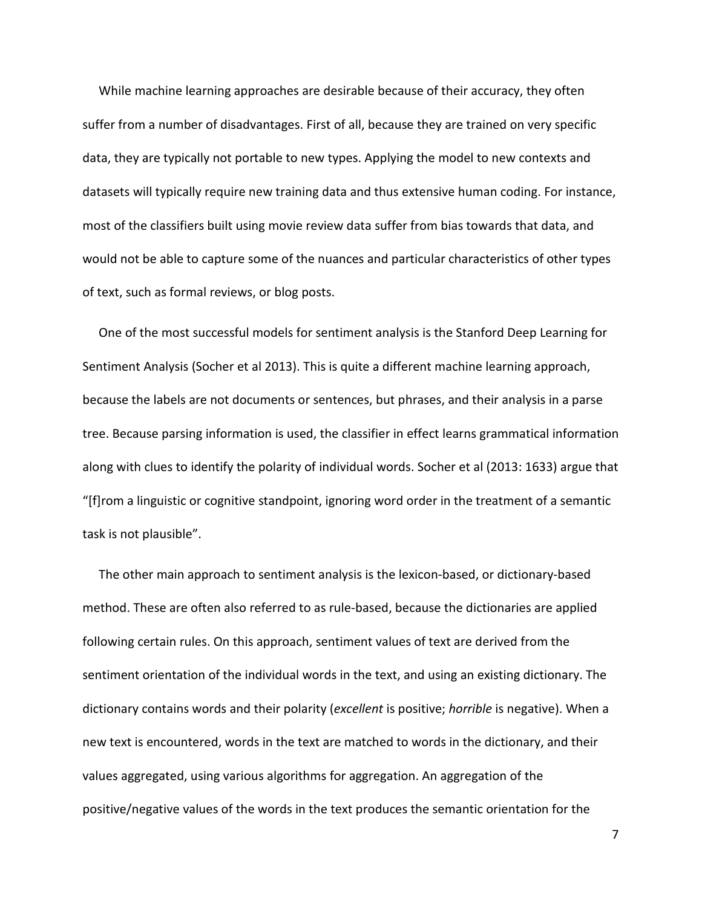While machine learning approaches are desirable because of their accuracy, they often suffer from a number of disadvantages. First of all, because they are trained on very specific data, they are typically not portable to new types. Applying the model to new contexts and datasets will typically require new training data and thus extensive human coding. For instance, most of the classifiers built using movie review data suffer from bias towards that data, and would not be able to capture some of the nuances and particular characteristics of other types of text, such as formal reviews, or blog posts.

One of the most successful models for sentiment analysis is the Stanford Deep Learning for Sentiment Analysis (Socher et al 2013). This is quite a different machine learning approach, because the labels are not documents or sentences, but phrases, and their analysis in a parse tree. Because parsing information is used, the classifier in effect learns grammatical information along with clues to identify the polarity of individual words. Socher et al (2013: 1633) argue that "[f]rom a linguistic or cognitive standpoint, ignoring word order in the treatment of a semantic task is not plausible".

The other main approach to sentiment analysis is the lexicon-based, or dictionary-based method. These are often also referred to as rule-based, because the dictionaries are applied following certain rules. On this approach, sentiment values of text are derived from the sentiment orientation of the individual words in the text, and using an existing dictionary. The dictionary contains words and their polarity (*excellent* is positive; *horrible* is negative). When a new text is encountered, words in the text are matched to words in the dictionary, and their values aggregated, using various algorithms for aggregation. An aggregation of the positive/negative values of the words in the text produces the semantic orientation for the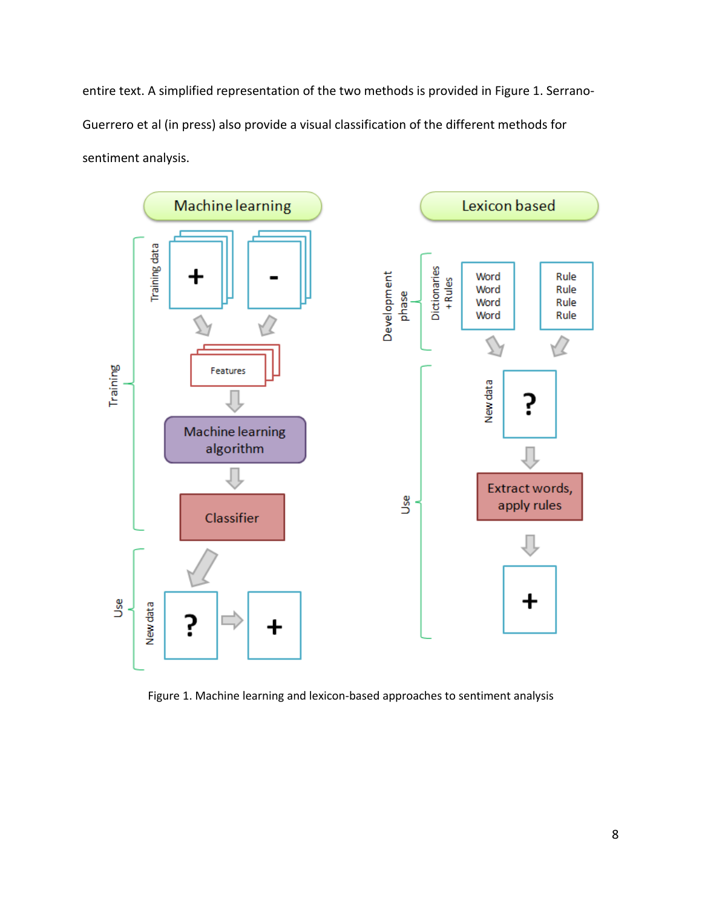entire text. A simplified representation of the two methods is provided i[n Figure 1.](#page-7-0) Serrano-Guerrero et al (in press) also provide a visual classification of the different methods for sentiment analysis.



<span id="page-7-0"></span>Figure 1. Machine learning and lexicon-based approaches to sentiment analysis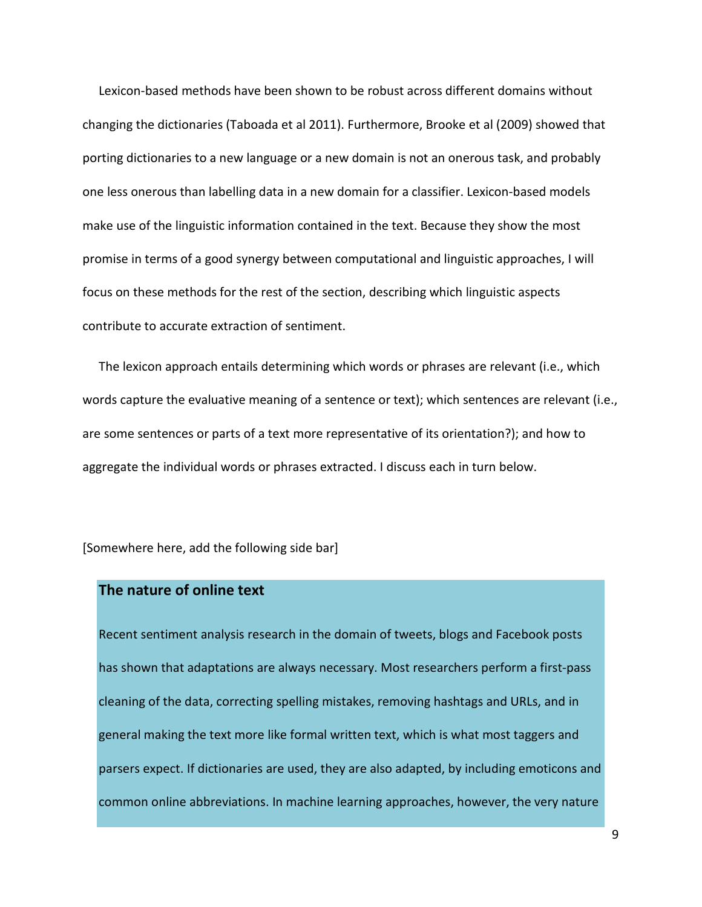Lexicon-based methods have been shown to be robust across different domains without changing the dictionaries (Taboada et al 2011). Furthermore, Brooke et al (2009) showed that porting dictionaries to a new language or a new domain is not an onerous task, and probably one less onerous than labelling data in a new domain for a classifier. Lexicon-based models make use of the linguistic information contained in the text. Because they show the most promise in terms of a good synergy between computational and linguistic approaches, I will focus on these methods for the rest of the section, describing which linguistic aspects contribute to accurate extraction of sentiment.

The lexicon approach entails determining which words or phrases are relevant (i.e., which words capture the evaluative meaning of a sentence or text); which sentences are relevant (i.e., are some sentences or parts of a text more representative of its orientation?); and how to aggregate the individual words or phrases extracted. I discuss each in turn below.

[Somewhere here, add the following side bar]

## **The nature of online text**

Recent sentiment analysis research in the domain of tweets, blogs and Facebook posts has shown that adaptations are always necessary. Most researchers perform a first-pass cleaning of the data, correcting spelling mistakes, removing hashtags and URLs, and in general making the text more like formal written text, which is what most taggers and parsers expect. If dictionaries are used, they are also adapted, by including emoticons and common online abbreviations. In machine learning approaches, however, the very nature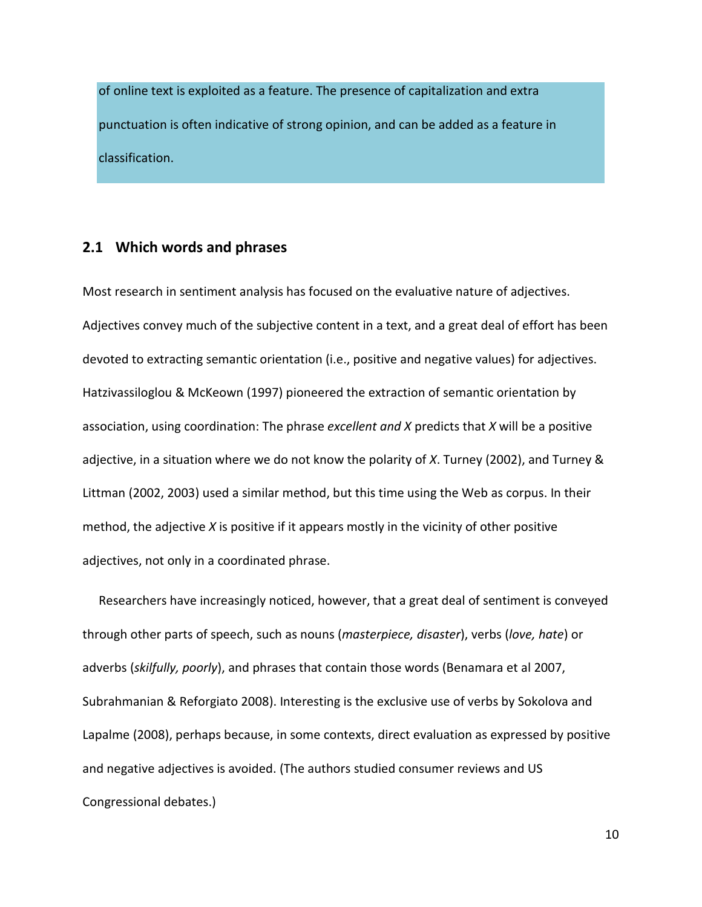of online text is exploited as a feature. The presence of capitalization and extra punctuation is often indicative of strong opinion, and can be added as a feature in classification.

#### <span id="page-9-0"></span>**2.1 Which words and phrases**

Most research in sentiment analysis has focused on the evaluative nature of adjectives. Adjectives convey much of the subjective content in a text, and a great deal of effort has been devoted to extracting semantic orientation (i.e., positive and negative values) for adjectives. Hatzivassiloglou & McKeown (1997) pioneered the extraction of semantic orientation by association, using coordination: The phrase *excellent and X* predicts that *X* will be a positive adjective, in a situation where we do not know the polarity of *X*. Turney (2002), and Turney & Littman (2002, 2003) used a similar method, but this time using the Web as corpus. In their method, the adjective *X* is positive if it appears mostly in the vicinity of other positive adjectives, not only in a coordinated phrase.

Researchers have increasingly noticed, however, that a great deal of sentiment is conveyed through other parts of speech, such as nouns (*masterpiece, disaster*), verbs (*love, hate*) or adverbs (*skilfully, poorly*), and phrases that contain those words (Benamara et al 2007, Subrahmanian & Reforgiato 2008). Interesting is the exclusive use of verbs by Sokolova and Lapalme (2008), perhaps because, in some contexts, direct evaluation as expressed by positive and negative adjectives is avoided. (The authors studied consumer reviews and US Congressional debates.)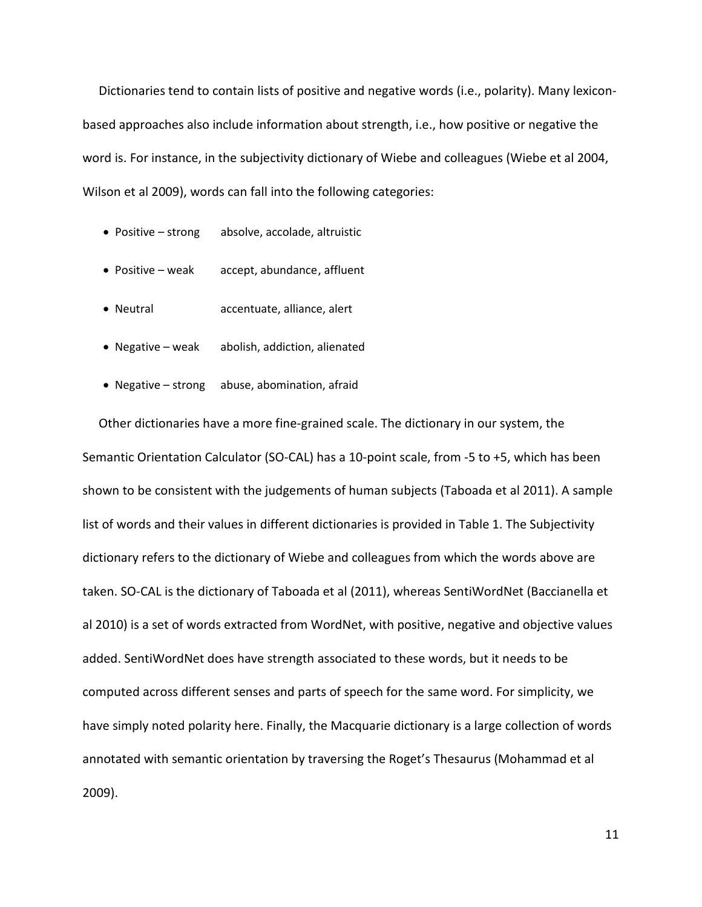Dictionaries tend to contain lists of positive and negative words (i.e., polarity). Many lexiconbased approaches also include information about strength, i.e., how positive or negative the word is. For instance, in the subjectivity dictionary of Wiebe and colleagues (Wiebe et al 2004, Wilson et al 2009), words can fall into the following categories:

- Positive strong absolve, accolade, altruistic
- Positive weak accept, abundance, affluent
- Neutral accentuate, alliance, alert
- Negative weak abolish, addiction, alienated
- Negative strong abuse, abomination, afraid

Other dictionaries have a more fine-grained scale. The dictionary in our system, the Semantic Orientation Calculator (SO-CAL) has a 10-point scale, from -5 to +5, which has been shown to be consistent with the judgements of human subjects (Taboada et al 2011). A sample list of words and their values in different dictionaries is provided in [Table 1.](#page-11-0) The Subjectivity dictionary refers to the dictionary of Wiebe and colleagues from which the words above are taken. SO-CAL is the dictionary of Taboada et al (2011), whereas SentiWordNet (Baccianella et al 2010) is a set of words extracted from WordNet, with positive, negative and objective values added. SentiWordNet does have strength associated to these words, but it needs to be computed across different senses and parts of speech for the same word. For simplicity, we have simply noted polarity here. Finally, the Macquarie dictionary is a large collection of words annotated with semantic orientation by traversing the Roget's Thesaurus (Mohammad et al 2009).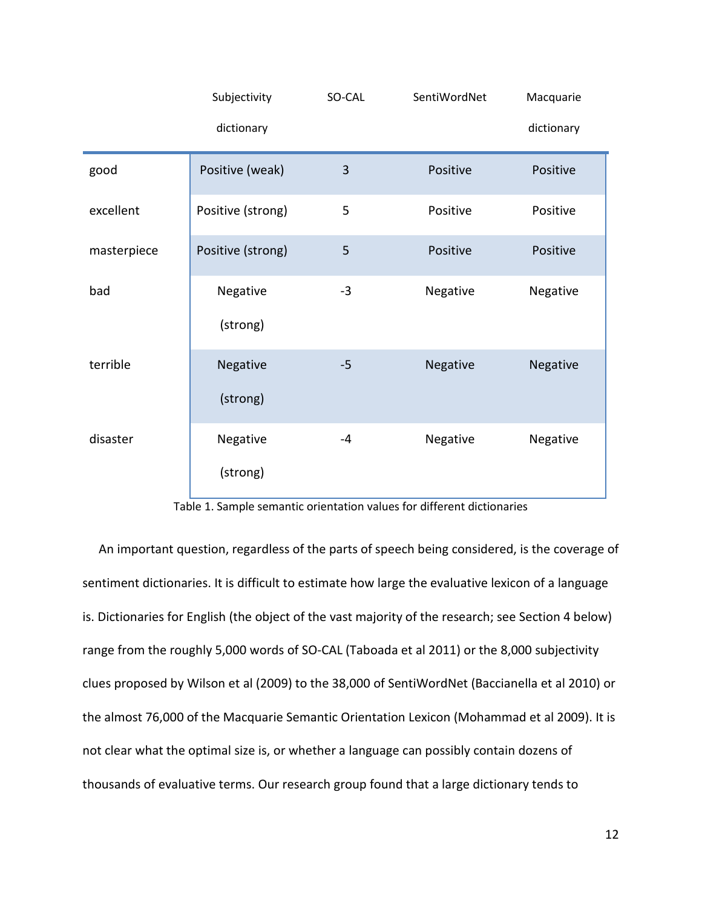|             | Subjectivity      | SO-CAL | SentiWordNet | Macquarie  |
|-------------|-------------------|--------|--------------|------------|
|             | dictionary        |        |              | dictionary |
| good        | Positive (weak)   | 3      | Positive     | Positive   |
| excellent   | Positive (strong) | 5      | Positive     | Positive   |
| masterpiece | Positive (strong) | 5      | Positive     | Positive   |
| bad         | Negative          | $-3$   | Negative     | Negative   |
|             | (strong)          |        |              |            |
| terrible    | Negative          | $-5$   | Negative     | Negative   |
|             | (strong)          |        |              |            |
| disaster    | Negative          | $-4$   | Negative     | Negative   |
|             | (strong)          |        |              |            |

| Table 1. Sample semantic orientation values for different dictionaries |  |  |
|------------------------------------------------------------------------|--|--|
|------------------------------------------------------------------------|--|--|

<span id="page-11-0"></span>An important question, regardless of the parts of speech being considered, is the coverage of sentiment dictionaries. It is difficult to estimate how large the evaluative lexicon of a language is. Dictionaries for English (the object of the vast majority of the research; see Section [4](#page-30-0) below) range from the roughly 5,000 words of SO-CAL (Taboada et al 2011) or the 8,000 subjectivity clues proposed by Wilson et al (2009) to the 38,000 of SentiWordNet (Baccianella et al 2010) or the almost 76,000 of the Macquarie Semantic Orientation Lexicon (Mohammad et al 2009). It is not clear what the optimal size is, or whether a language can possibly contain dozens of thousands of evaluative terms. Our research group found that a large dictionary tends to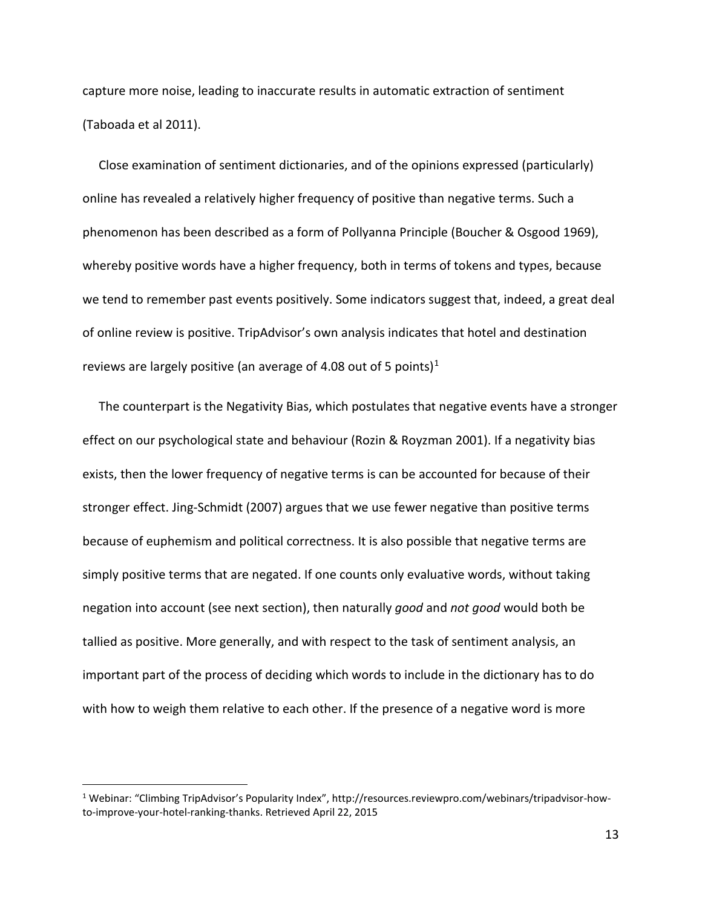capture more noise, leading to inaccurate results in automatic extraction of sentiment (Taboada et al 2011).

Close examination of sentiment dictionaries, and of the opinions expressed (particularly) online has revealed a relatively higher frequency of positive than negative terms. Such a phenomenon has been described as a form of Pollyanna Principle (Boucher & Osgood 1969), whereby positive words have a higher frequency, both in terms of tokens and types, because we tend to remember past events positively. Some indicators suggest that, indeed, a great deal of online review is positive. TripAdvisor's own analysis indicates that hotel and destination reviews are largely positive (an average of 4.08 out of 5 points)<sup>[1](#page-12-0)</sup>

The counterpart is the Negativity Bias, which postulates that negative events have a stronger effect on our psychological state and behaviour (Rozin & Royzman 2001). If a negativity bias exists, then the lower frequency of negative terms is can be accounted for because of their stronger effect. Jing-Schmidt (2007) argues that we use fewer negative than positive terms because of euphemism and political correctness. It is also possible that negative terms are simply positive terms that are negated. If one counts only evaluative words, without taking negation into account (see next section), then naturally *good* and *not good* would both be tallied as positive. More generally, and with respect to the task of sentiment analysis, an important part of the process of deciding which words to include in the dictionary has to do with how to weigh them relative to each other. If the presence of a negative word is more

<span id="page-12-0"></span> <sup>1</sup> Webinar: "Climbing TripAdvisor's Popularity Index", http://resources.reviewpro.com/webinars/tripadvisor-howto-improve-your-hotel-ranking-thanks. Retrieved April 22, 2015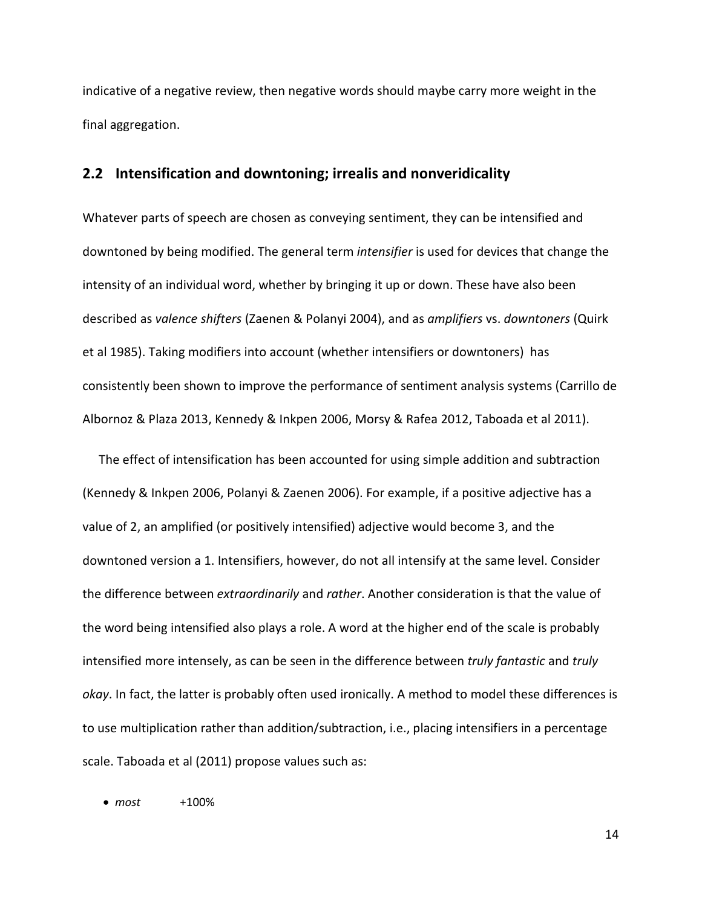indicative of a negative review, then negative words should maybe carry more weight in the final aggregation.

#### <span id="page-13-0"></span>**2.2 Intensification and downtoning; irrealis and nonveridicality**

Whatever parts of speech are chosen as conveying sentiment, they can be intensified and downtoned by being modified. The general term *intensifier* is used for devices that change the intensity of an individual word, whether by bringing it up or down. These have also been described as *valence shifters* (Zaenen & Polanyi 2004), and as *amplifiers* vs. *downtoners* (Quirk et al 1985). Taking modifiers into account (whether intensifiers or downtoners) has consistently been shown to improve the performance of sentiment analysis systems (Carrillo de Albornoz & Plaza 2013, Kennedy & Inkpen 2006, Morsy & Rafea 2012, Taboada et al 2011).

The effect of intensification has been accounted for using simple addition and subtraction (Kennedy & Inkpen 2006, Polanyi & Zaenen 2006). For example, if a positive adjective has a value of 2, an amplified (or positively intensified) adjective would become 3, and the downtoned version a 1. Intensifiers, however, do not all intensify at the same level. Consider the difference between *extraordinarily* and *rather*. Another consideration is that the value of the word being intensified also plays a role. A word at the higher end of the scale is probably intensified more intensely, as can be seen in the difference between *truly fantastic* and *truly okay*. In fact, the latter is probably often used ironically. A method to model these differences is to use multiplication rather than addition/subtraction, i.e., placing intensifiers in a percentage scale. Taboada et al (2011) propose values such as:

• *most* +100%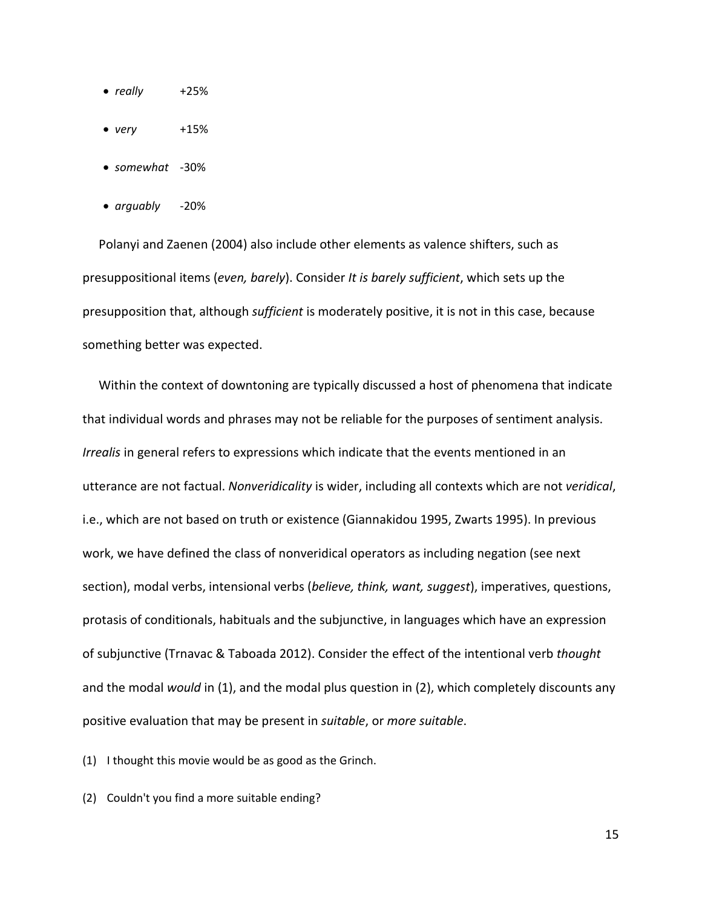- *really* +25%
- *very* +15%
- *somewhat* -30%
- *arguably* -20%

Polanyi and Zaenen (2004) also include other elements as valence shifters, such as presuppositional items (*even, barely*). Consider *It is barely sufficient*, which sets up the presupposition that, although *sufficient* is moderately positive, it is not in this case, because something better was expected.

Within the context of downtoning are typically discussed a host of phenomena that indicate that individual words and phrases may not be reliable for the purposes of sentiment analysis. *Irrealis* in general refers to expressions which indicate that the events mentioned in an utterance are not factual. *Nonveridicality* is wider, including all contexts which are not *veridical*, i.e., which are not based on truth or existence (Giannakidou 1995, Zwarts 1995). In previous work, we have defined the class of nonveridical operators as including negation (see next section), modal verbs, intensional verbs (*believe, think, want, suggest*), imperatives, questions, protasis of conditionals, habituals and the subjunctive, in languages which have an expression of subjunctive (Trnavac & Taboada 2012). Consider the effect of the intentional verb *thought* and the modal *would* in [\(1\)](#page-14-0), and the modal plus question in [\(2\)](#page-14-1), which completely discounts any positive evaluation that may be present in *suitable*, or *more suitable*.

<span id="page-14-0"></span>(1) I thought this movie would be as good as the Grinch.

<span id="page-14-1"></span>(2) Couldn't you find a more suitable ending?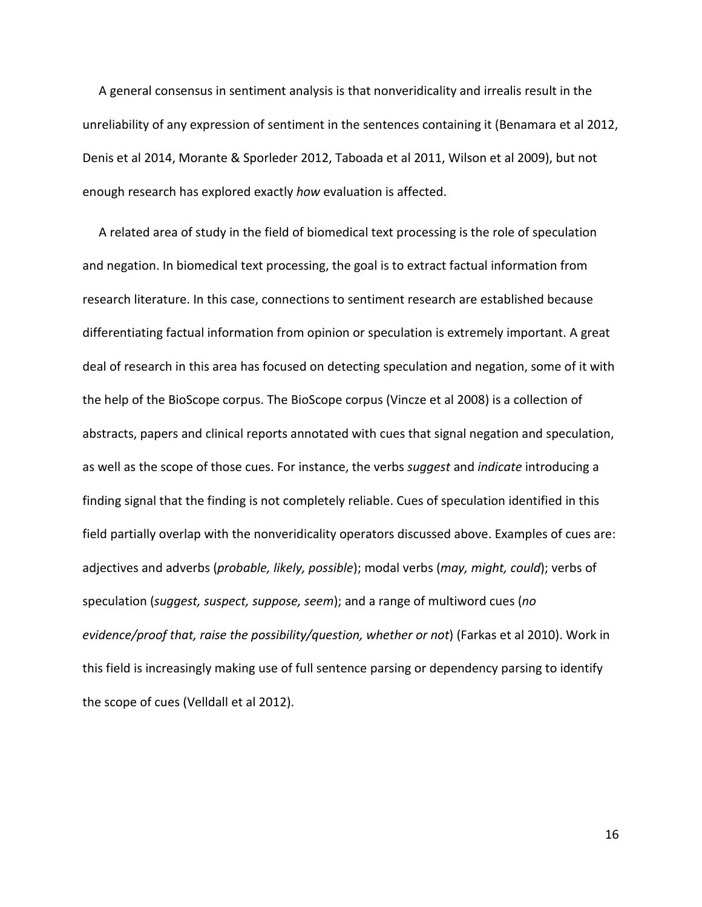A general consensus in sentiment analysis is that nonveridicality and irrealis result in the unreliability of any expression of sentiment in the sentences containing it (Benamara et al 2012, Denis et al 2014, Morante & Sporleder 2012, Taboada et al 2011, Wilson et al 2009), but not enough research has explored exactly *how* evaluation is affected.

A related area of study in the field of biomedical text processing is the role of speculation and negation. In biomedical text processing, the goal is to extract factual information from research literature. In this case, connections to sentiment research are established because differentiating factual information from opinion or speculation is extremely important. A great deal of research in this area has focused on detecting speculation and negation, some of it with the help of the BioScope corpus. The BioScope corpus (Vincze et al 2008) is a collection of abstracts, papers and clinical reports annotated with cues that signal negation and speculation, as well as the scope of those cues. For instance, the verbs *suggest* and *indicate* introducing a finding signal that the finding is not completely reliable. Cues of speculation identified in this field partially overlap with the nonveridicality operators discussed above. Examples of cues are: adjectives and adverbs (*probable, likely, possible*); modal verbs (*may, might, could*); verbs of speculation (*suggest, suspect, suppose, seem*); and a range of multiword cues (*no evidence/proof that, raise the possibility/question, whether or not*) (Farkas et al 2010). Work in this field is increasingly making use of full sentence parsing or dependency parsing to identify the scope of cues (Velldall et al 2012).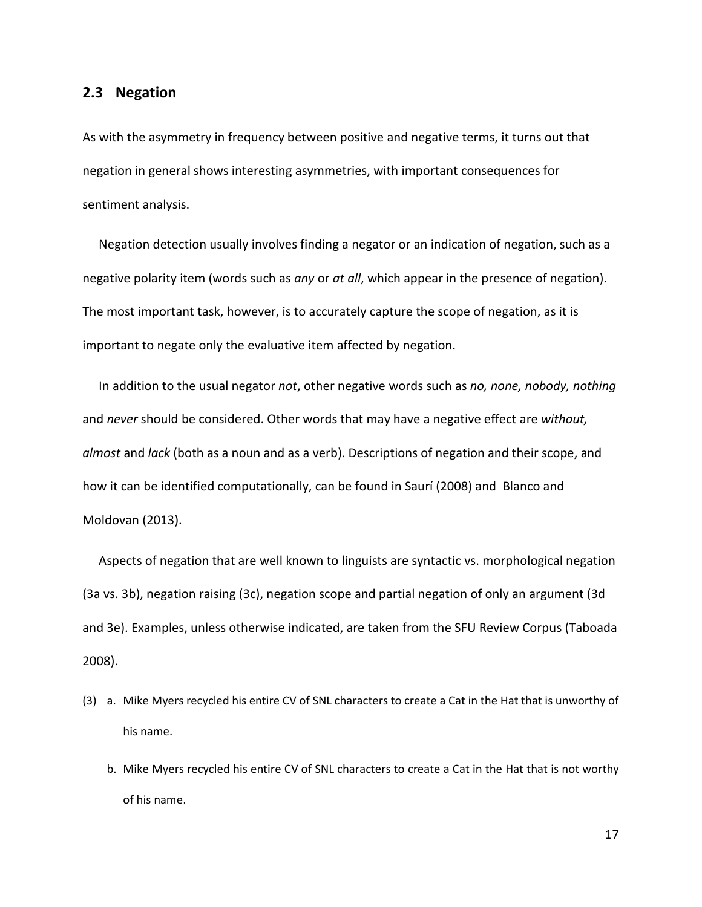#### <span id="page-16-0"></span>**2.3 Negation**

As with the asymmetry in frequency between positive and negative terms, it turns out that negation in general shows interesting asymmetries, with important consequences for sentiment analysis.

Negation detection usually involves finding a negator or an indication of negation, such as a negative polarity item (words such as *any* or *at all*, which appear in the presence of negation). The most important task, however, is to accurately capture the scope of negation, as it is important to negate only the evaluative item affected by negation.

In addition to the usual negator *not*, other negative words such as *no, none, nobody, nothing* and *never* should be considered. Other words that may have a negative effect are *without, almost* and *lack* (both as a noun and as a verb). Descriptions of negation and their scope, and how it can be identified computationally, can be found in Saurí (2008) and Blanco and Moldovan (2013).

Aspects of negation that are well known to linguists are syntactic vs. morphological negation [\(3a](#page-16-1) vs. [3b](#page-16-1)), negation raising [\(3c](#page-16-1)), negation scope and partial negation of only an argument [\(3d](#page-16-1) and [3e](#page-16-1)). Examples, unless otherwise indicated, are taken from the SFU Review Corpus (Taboada 2008).

- <span id="page-16-1"></span>(3) a. Mike Myers recycled his entire CV of SNL characters to create a Cat in the Hat that is unworthy of his name.
	- b. Mike Myers recycled his entire CV of SNL characters to create a Cat in the Hat that is not worthy of his name.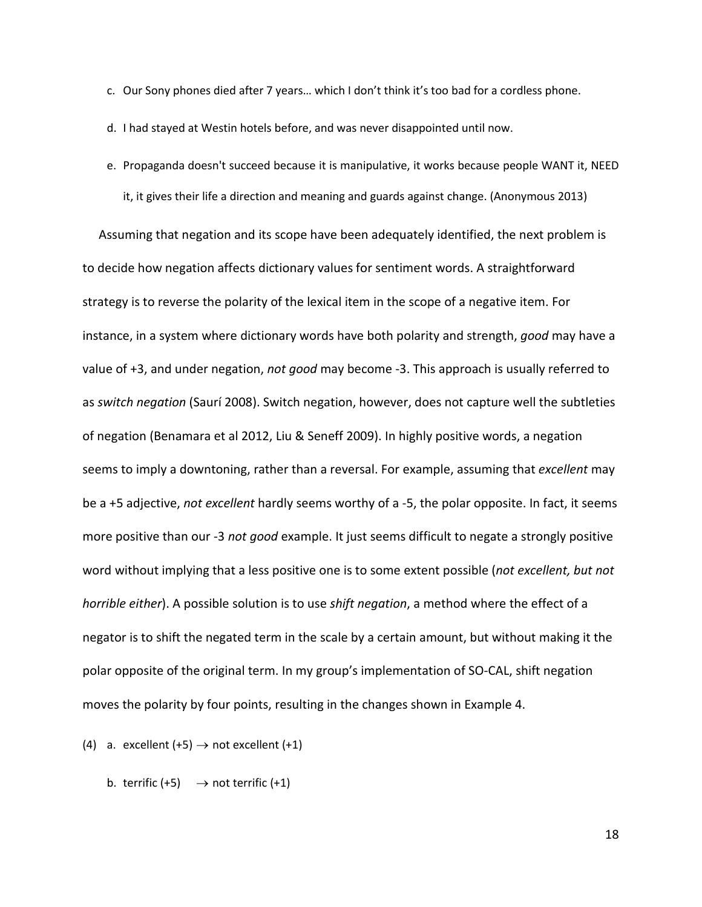- c. Our Sony phones died after 7 years… which I don't think it's too bad for a cordless phone.
- d. I had stayed at Westin hotels before, and was never disappointed until now.
- e. Propaganda doesn't succeed because it is manipulative, it works because people WANT it, NEED it, it gives their life a direction and meaning and guards against change. (Anonymous 2013)

Assuming that negation and its scope have been adequately identified, the next problem is to decide how negation affects dictionary values for sentiment words. A straightforward strategy is to reverse the polarity of the lexical item in the scope of a negative item. For instance, in a system where dictionary words have both polarity and strength, *good* may have a value of +3, and under negation, *not good* may become -3. This approach is usually referred to as *switch negation* (Saurí 2008). Switch negation, however, does not capture well the subtleties of negation (Benamara et al 2012, Liu & Seneff 2009). In highly positive words, a negation seems to imply a downtoning, rather than a reversal. For example, assuming that *excellent* may be a +5 adjective, *not excellent* hardly seems worthy of a -5, the polar opposite. In fact, it seems more positive than our -3 *not good* example. It just seems difficult to negate a strongly positive word without implying that a less positive one is to some extent possible (*not excellent, but not horrible either*). A possible solution is to use *shift negation*, a method where the effect of a negator is to shift the negated term in the scale by a certain amount, but without making it the polar opposite of the original term. In my group's implementation of SO-CAL, shift negation moves the polarity by four points, resulting in the changes shown in Example [4.](#page-17-0)

- <span id="page-17-0"></span>(4) a. excellent  $(+5) \rightarrow$  not excellent  $(+1)$ 
	- b. terrific  $(+5) \rightarrow$  not terrific  $(+1)$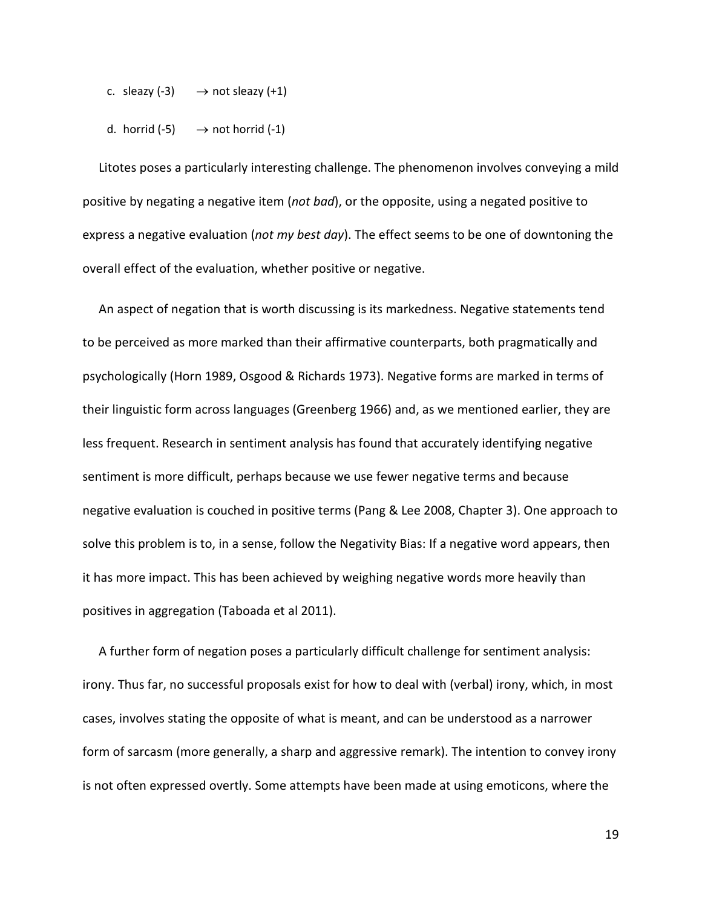- c. sleazy  $(-3) \rightarrow \text{not} \text{s}$  =  $(2+1)$
- d. horrid  $(-5) \rightarrow \text{not } \text{horrid } (-1)$

Litotes poses a particularly interesting challenge. The phenomenon involves conveying a mild positive by negating a negative item (*not bad*), or the opposite, using a negated positive to express a negative evaluation (*not my best day*). The effect seems to be one of downtoning the overall effect of the evaluation, whether positive or negative.

An aspect of negation that is worth discussing is its markedness. Negative statements tend to be perceived as more marked than their affirmative counterparts, both pragmatically and psychologically (Horn 1989, Osgood & Richards 1973). Negative forms are marked in terms of their linguistic form across languages (Greenberg 1966) and, as we mentioned earlier, they are less frequent. Research in sentiment analysis has found that accurately identifying negative sentiment is more difficult, perhaps because we use fewer negative terms and because negative evaluation is couched in positive terms (Pang & Lee 2008, Chapter 3). One approach to solve this problem is to, in a sense, follow the Negativity Bias: If a negative word appears, then it has more impact. This has been achieved by weighing negative words more heavily than positives in aggregation (Taboada et al 2011).

A further form of negation poses a particularly difficult challenge for sentiment analysis: irony. Thus far, no successful proposals exist for how to deal with (verbal) irony, which, in most cases, involves stating the opposite of what is meant, and can be understood as a narrower form of sarcasm (more generally, a sharp and aggressive remark). The intention to convey irony is not often expressed overtly. Some attempts have been made at using emoticons, where the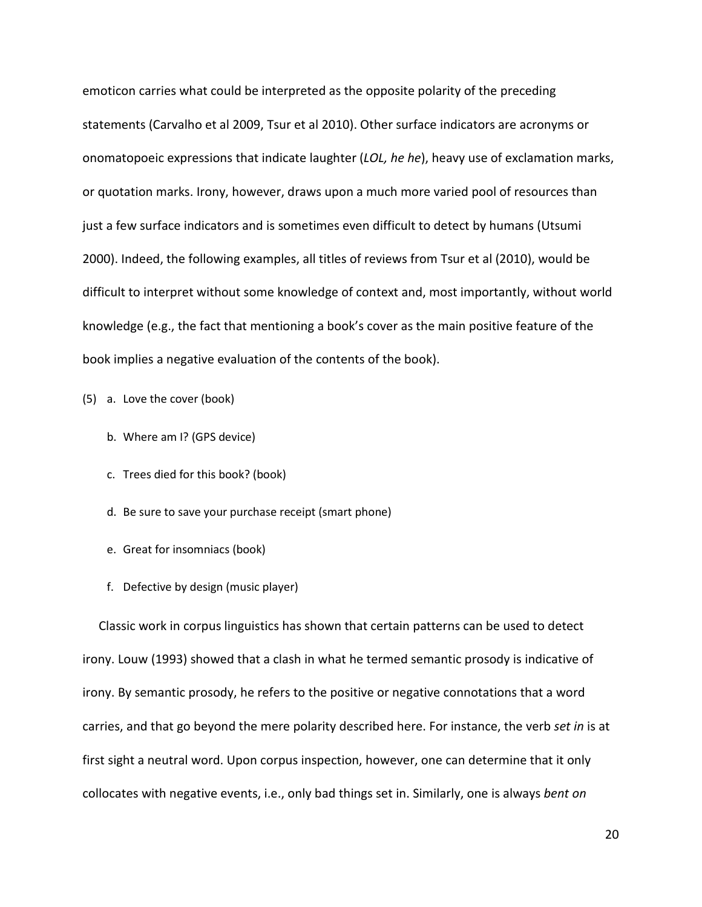emoticon carries what could be interpreted as the opposite polarity of the preceding statements (Carvalho et al 2009, Tsur et al 2010). Other surface indicators are acronyms or onomatopoeic expressions that indicate laughter (*LOL, he he*), heavy use of exclamation marks, or quotation marks. Irony, however, draws upon a much more varied pool of resources than just a few surface indicators and is sometimes even difficult to detect by humans (Utsumi 2000). Indeed, the following examples, all titles of reviews from Tsur et al (2010), would be difficult to interpret without some knowledge of context and, most importantly, without world knowledge (e.g., the fact that mentioning a book's cover as the main positive feature of the book implies a negative evaluation of the contents of the book).

(5) a. Love the cover (book)

- b. Where am I? (GPS device)
- c. Trees died for this book? (book)
- d. Be sure to save your purchase receipt (smart phone)
- e. Great for insomniacs (book)
- f. Defective by design (music player)

Classic work in corpus linguistics has shown that certain patterns can be used to detect irony. Louw (1993) showed that a clash in what he termed semantic prosody is indicative of irony. By semantic prosody, he refers to the positive or negative connotations that a word carries, and that go beyond the mere polarity described here. For instance, the verb *set in* is at first sight a neutral word. Upon corpus inspection, however, one can determine that it only collocates with negative events, i.e., only bad things set in. Similarly, one is always *bent on*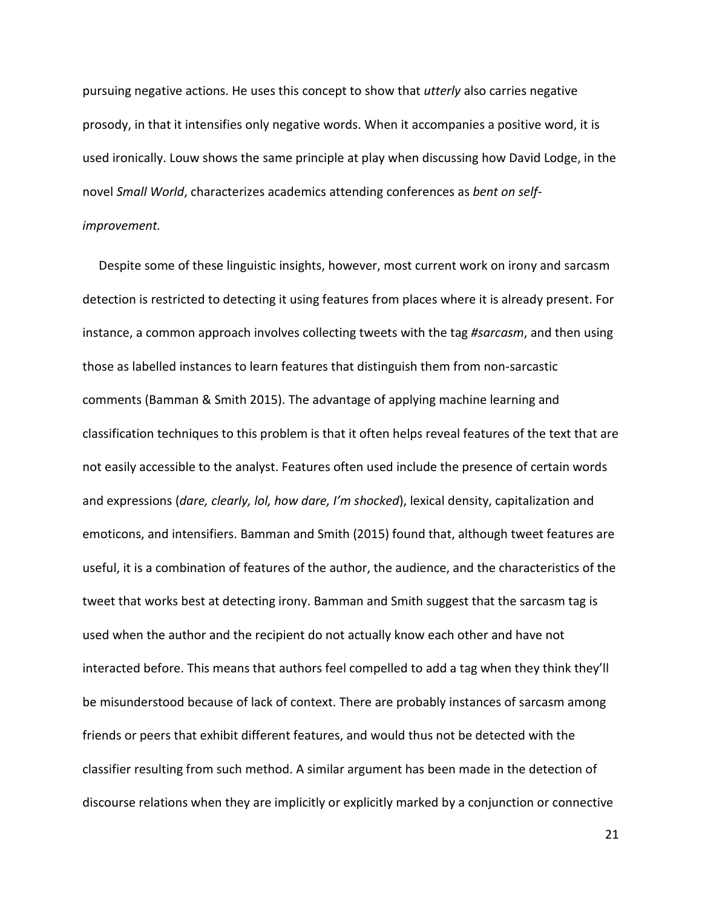pursuing negative actions. He uses this concept to show that *utterly* also carries negative prosody, in that it intensifies only negative words. When it accompanies a positive word, it is used ironically. Louw shows the same principle at play when discussing how David Lodge, in the novel *Small World*, characterizes academics attending conferences as *bent on selfimprovement.* 

Despite some of these linguistic insights, however, most current work on irony and sarcasm detection is restricted to detecting it using features from places where it is already present. For instance, a common approach involves collecting tweets with the tag *#sarcasm*, and then using those as labelled instances to learn features that distinguish them from non-sarcastic comments (Bamman & Smith 2015). The advantage of applying machine learning and classification techniques to this problem is that it often helps reveal features of the text that are not easily accessible to the analyst. Features often used include the presence of certain words and expressions (*dare, clearly, lol, how dare, I'm shocked*), lexical density, capitalization and emoticons, and intensifiers. Bamman and Smith (2015) found that, although tweet features are useful, it is a combination of features of the author, the audience, and the characteristics of the tweet that works best at detecting irony. Bamman and Smith suggest that the sarcasm tag is used when the author and the recipient do not actually know each other and have not interacted before. This means that authors feel compelled to add a tag when they think they'll be misunderstood because of lack of context. There are probably instances of sarcasm among friends or peers that exhibit different features, and would thus not be detected with the classifier resulting from such method. A similar argument has been made in the detection of discourse relations when they are implicitly or explicitly marked by a conjunction or connective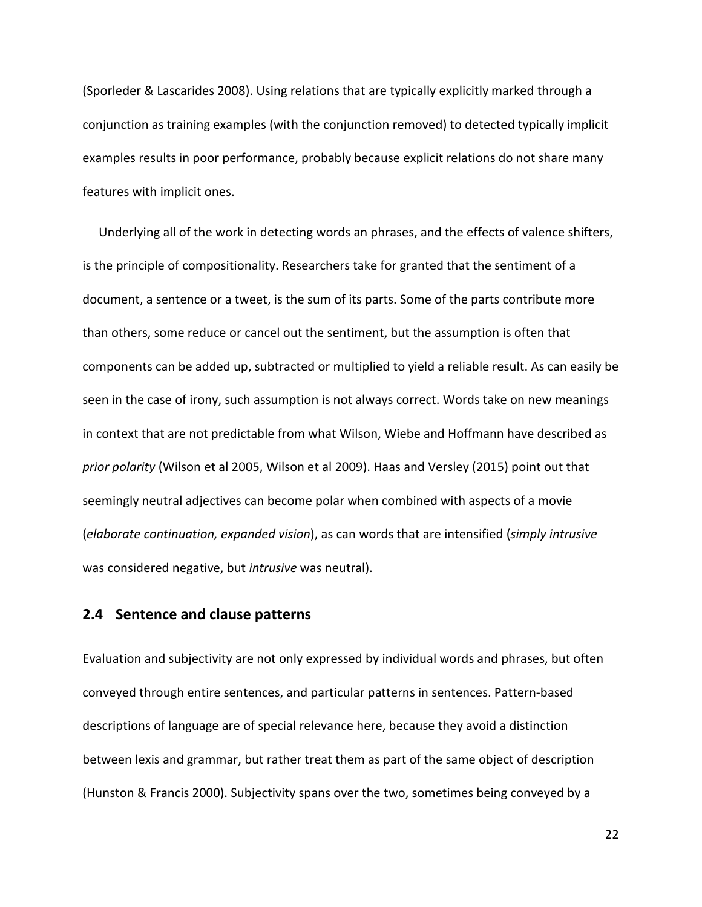(Sporleder & Lascarides 2008). Using relations that are typically explicitly marked through a conjunction as training examples (with the conjunction removed) to detected typically implicit examples results in poor performance, probably because explicit relations do not share many features with implicit ones.

Underlying all of the work in detecting words an phrases, and the effects of valence shifters, is the principle of compositionality. Researchers take for granted that the sentiment of a document, a sentence or a tweet, is the sum of its parts. Some of the parts contribute more than others, some reduce or cancel out the sentiment, but the assumption is often that components can be added up, subtracted or multiplied to yield a reliable result. As can easily be seen in the case of irony, such assumption is not always correct. Words take on new meanings in context that are not predictable from what Wilson, Wiebe and Hoffmann have described as *prior polarity* (Wilson et al 2005, Wilson et al 2009). Haas and Versley (2015) point out that seemingly neutral adjectives can become polar when combined with aspects of a movie (*elaborate continuation, expanded vision*), as can words that are intensified (*simply intrusive* was considered negative, but *intrusive* was neutral).

#### <span id="page-21-0"></span>**2.4 Sentence and clause patterns**

Evaluation and subjectivity are not only expressed by individual words and phrases, but often conveyed through entire sentences, and particular patterns in sentences. Pattern-based descriptions of language are of special relevance here, because they avoid a distinction between lexis and grammar, but rather treat them as part of the same object of description (Hunston & Francis 2000). Subjectivity spans over the two, sometimes being conveyed by a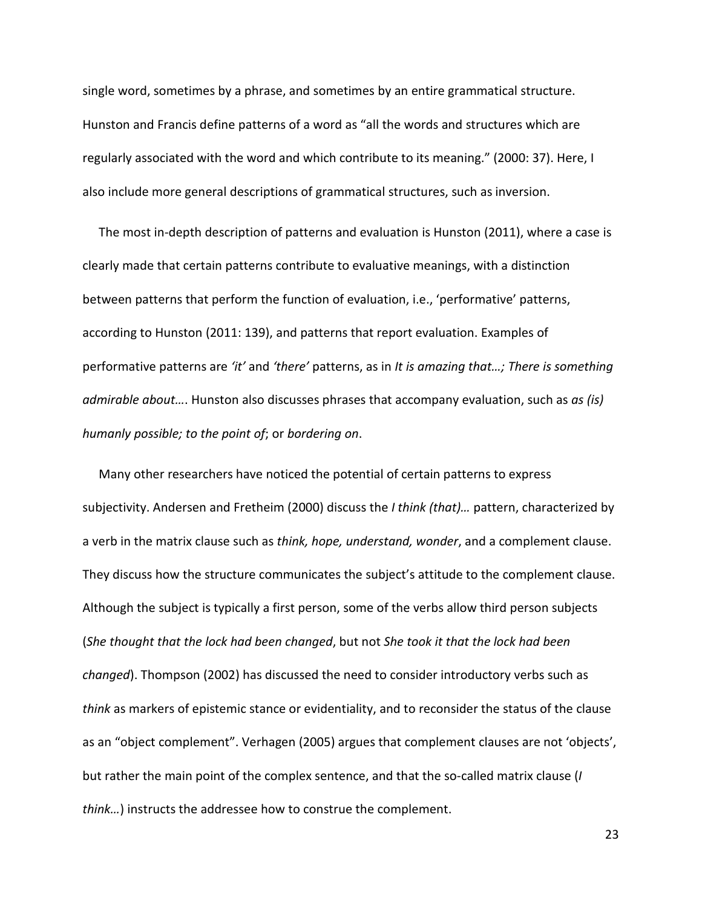single word, sometimes by a phrase, and sometimes by an entire grammatical structure. Hunston and Francis define patterns of a word as "all the words and structures which are regularly associated with the word and which contribute to its meaning." (2000: 37). Here, I also include more general descriptions of grammatical structures, such as inversion.

The most in-depth description of patterns and evaluation is Hunston (2011), where a case is clearly made that certain patterns contribute to evaluative meanings, with a distinction between patterns that perform the function of evaluation, i.e., 'performative' patterns, according to Hunston (2011: 139), and patterns that report evaluation. Examples of performative patterns are *'it'* and *'there'* patterns, as in *It is amazing that…; There is something admirable about…*. Hunston also discusses phrases that accompany evaluation, such as *as (is) humanly possible; to the point of*; or *bordering on*.

Many other researchers have noticed the potential of certain patterns to express subjectivity. Andersen and Fretheim (2000) discuss the *I think (that)…* pattern, characterized by a verb in the matrix clause such as *think, hope, understand, wonder*, and a complement clause. They discuss how the structure communicates the subject's attitude to the complement clause. Although the subject is typically a first person, some of the verbs allow third person subjects (*She thought that the lock had been changed*, but not *She took it that the lock had been changed*). Thompson (2002) has discussed the need to consider introductory verbs such as *think* as markers of epistemic stance or evidentiality, and to reconsider the status of the clause as an "object complement". Verhagen (2005) argues that complement clauses are not 'objects', but rather the main point of the complex sentence, and that the so-called matrix clause (*I think…*) instructs the addressee how to construe the complement.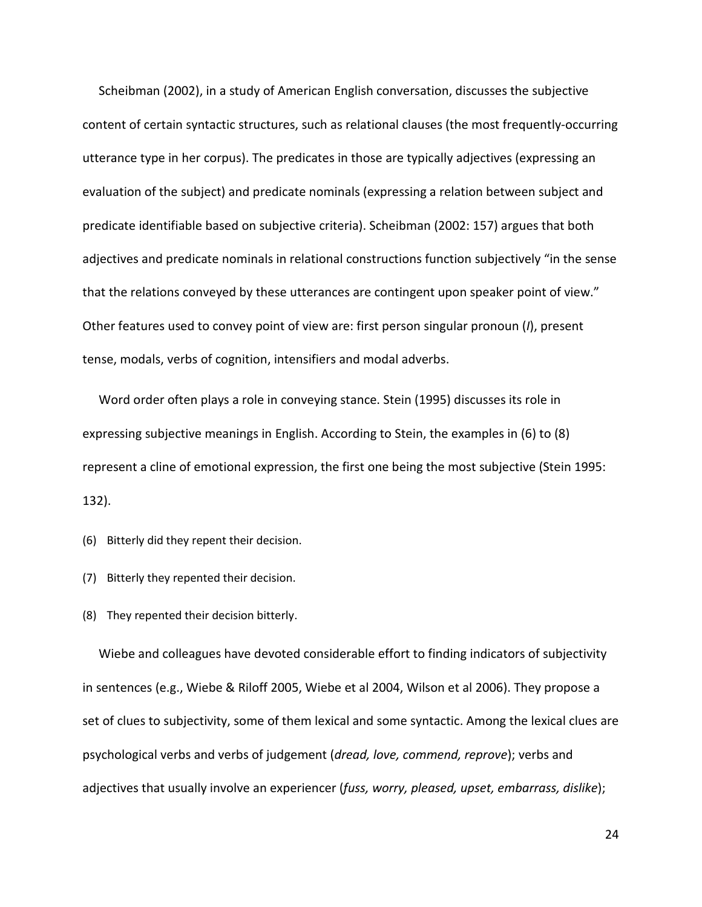Scheibman (2002), in a study of American English conversation, discusses the subjective content of certain syntactic structures, such as relational clauses (the most frequently-occurring utterance type in her corpus). The predicates in those are typically adjectives (expressing an evaluation of the subject) and predicate nominals (expressing a relation between subject and predicate identifiable based on subjective criteria). Scheibman (2002: 157) argues that both adjectives and predicate nominals in relational constructions function subjectively "in the sense that the relations conveyed by these utterances are contingent upon speaker point of view." Other features used to convey point of view are: first person singular pronoun (*I*), present tense, modals, verbs of cognition, intensifiers and modal adverbs.

Word order often plays a role in conveying stance. Stein (1995) discusses its role in expressing subjective meanings in English. According to Stein, the examples in [\(6\)](#page-23-0) to [\(8\)](#page-23-1) represent a cline of emotional expression, the first one being the most subjective (Stein 1995: 132).

<span id="page-23-0"></span>(6) Bitterly did they repent their decision.

(7) Bitterly they repented their decision.

<span id="page-23-1"></span>(8) They repented their decision bitterly.

Wiebe and colleagues have devoted considerable effort to finding indicators of subjectivity in sentences (e.g., Wiebe & Riloff 2005, Wiebe et al 2004, Wilson et al 2006). They propose a set of clues to subjectivity, some of them lexical and some syntactic. Among the lexical clues are psychological verbs and verbs of judgement (*dread, love, commend, reprove*); verbs and adjectives that usually involve an experiencer (*fuss, worry, pleased, upset, embarrass, dislike*);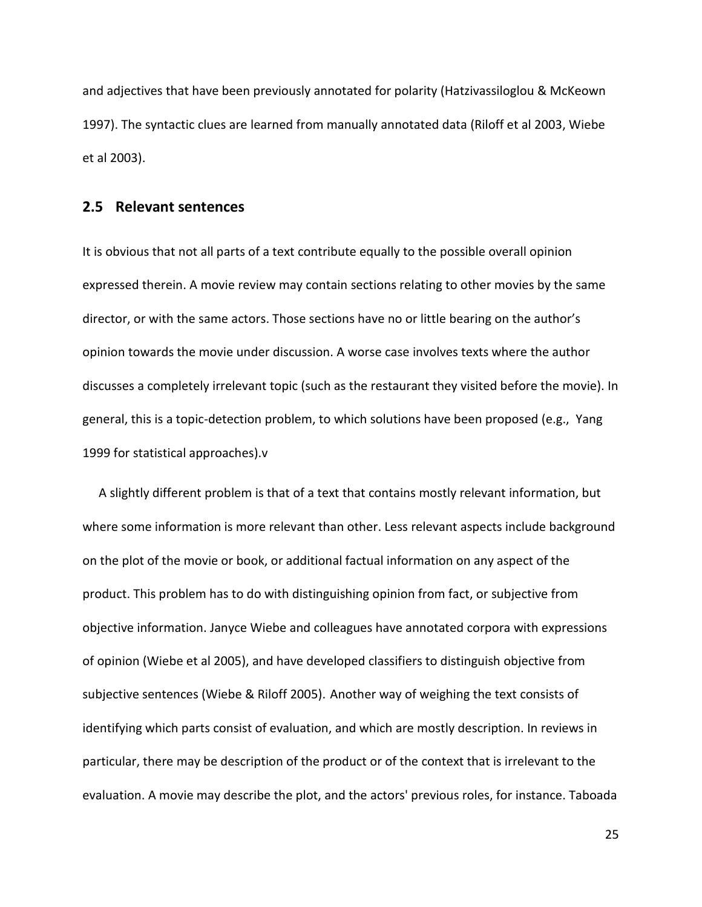and adjectives that have been previously annotated for polarity (Hatzivassiloglou & McKeown 1997). The syntactic clues are learned from manually annotated data (Riloff et al 2003, Wiebe et al 2003).

#### <span id="page-24-0"></span>**2.5 Relevant sentences**

It is obvious that not all parts of a text contribute equally to the possible overall opinion expressed therein. A movie review may contain sections relating to other movies by the same director, or with the same actors. Those sections have no or little bearing on the author's opinion towards the movie under discussion. A worse case involves texts where the author discusses a completely irrelevant topic (such as the restaurant they visited before the movie). In general, this is a topic-detection problem, to which solutions have been proposed (e.g., Yang 1999 for statistical approaches).v

A slightly different problem is that of a text that contains mostly relevant information, but where some information is more relevant than other. Less relevant aspects include background on the plot of the movie or book, or additional factual information on any aspect of the product. This problem has to do with distinguishing opinion from fact, or subjective from objective information. Janyce Wiebe and colleagues have annotated corpora with expressions of opinion (Wiebe et al 2005), and have developed classifiers to distinguish objective from subjective sentences (Wiebe & Riloff 2005). Another way of weighing the text consists of identifying which parts consist of evaluation, and which are mostly description. In reviews in particular, there may be description of the product or of the context that is irrelevant to the evaluation. A movie may describe the plot, and the actors' previous roles, for instance. Taboada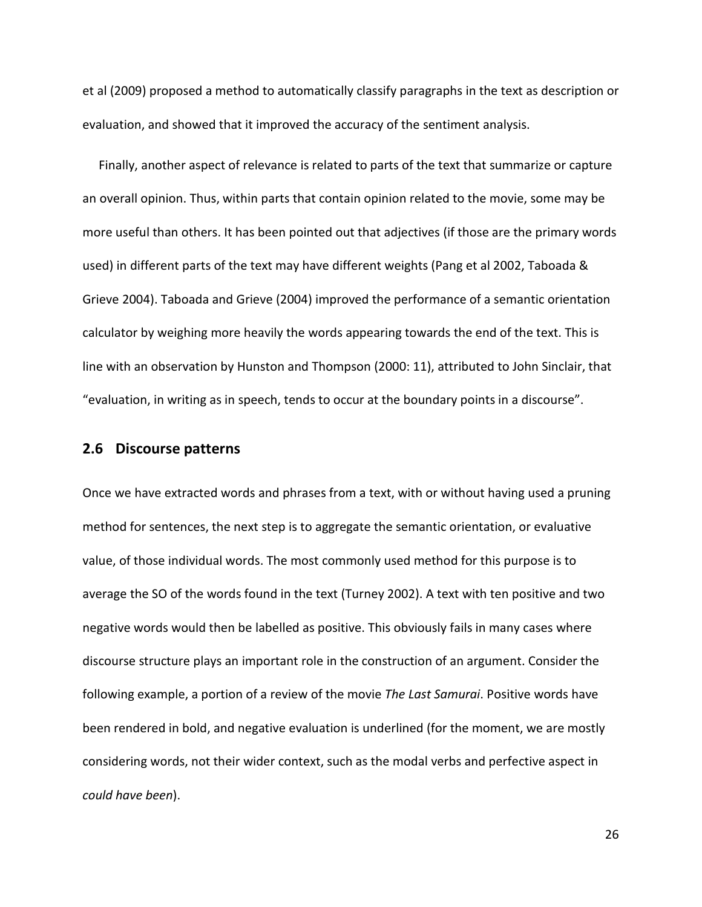et al (2009) proposed a method to automatically classify paragraphs in the text as description or evaluation, and showed that it improved the accuracy of the sentiment analysis.

Finally, another aspect of relevance is related to parts of the text that summarize or capture an overall opinion. Thus, within parts that contain opinion related to the movie, some may be more useful than others. It has been pointed out that adjectives (if those are the primary words used) in different parts of the text may have different weights (Pang et al 2002, Taboada & Grieve 2004). Taboada and Grieve (2004) improved the performance of a semantic orientation calculator by weighing more heavily the words appearing towards the end of the text. This is line with an observation by Hunston and Thompson (2000: 11), attributed to John Sinclair, that "evaluation, in writing as in speech, tends to occur at the boundary points in a discourse".

#### <span id="page-25-0"></span>**2.6 Discourse patterns**

Once we have extracted words and phrases from a text, with or without having used a pruning method for sentences, the next step is to aggregate the semantic orientation, or evaluative value, of those individual words. The most commonly used method for this purpose is to average the SO of the words found in the text (Turney 2002). A text with ten positive and two negative words would then be labelled as positive. This obviously fails in many cases where discourse structure plays an important role in the construction of an argument. Consider the following example, a portion of a review of the movie *The Last Samurai*. Positive words have been rendered in bold, and negative evaluation is underlined (for the moment, we are mostly considering words, not their wider context, such as the modal verbs and perfective aspect in *could have been*).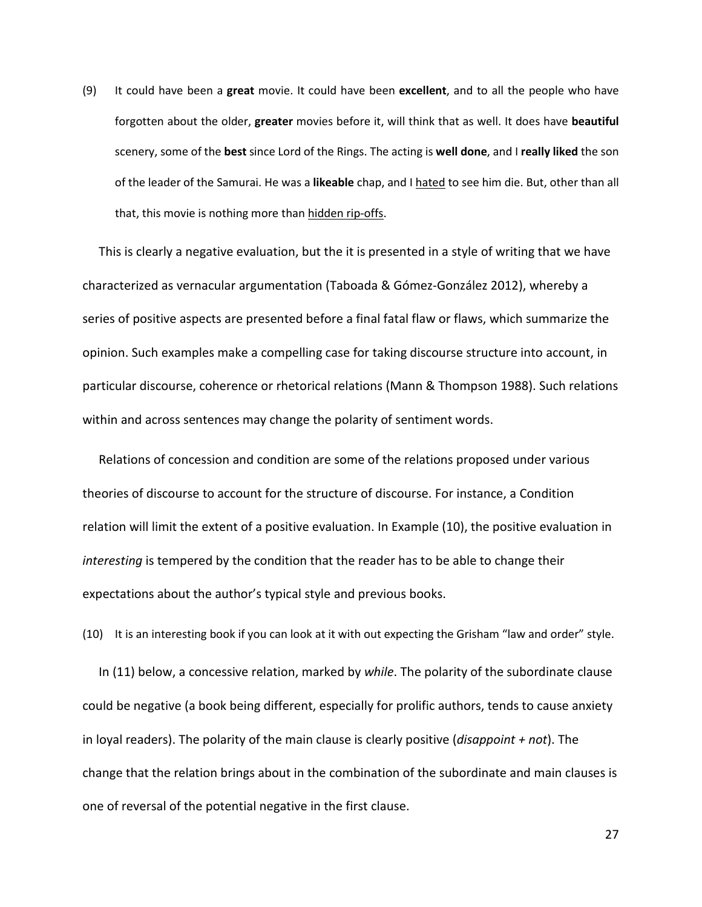(9) It could have been a **great** movie. It could have been **excellent**, and to all the people who have forgotten about the older, **greater** movies before it, will think that as well. It does have **beautiful** scenery, some of the **best** since Lord of the Rings. The acting is **well done**, and I **really liked** the son of the leader of the Samurai. He was a **likeable** chap, and I hated to see him die. But, other than all that, this movie is nothing more than hidden rip-offs.

This is clearly a negative evaluation, but the it is presented in a style of writing that we have characterized as vernacular argumentation (Taboada & Gómez-González 2012), whereby a series of positive aspects are presented before a final fatal flaw or flaws, which summarize the opinion. Such examples make a compelling case for taking discourse structure into account, in particular discourse, coherence or rhetorical relations (Mann & Thompson 1988). Such relations within and across sentences may change the polarity of sentiment words.

Relations of concession and condition are some of the relations proposed under various theories of discourse to account for the structure of discourse. For instance, a Condition relation will limit the extent of a positive evaluation. In Example [\(10\)](#page-26-0), the positive evaluation in *interesting* is tempered by the condition that the reader has to be able to change their expectations about the author's typical style and previous books.

<span id="page-26-0"></span>(10) It is an interesting book if you can look at it with out expecting the Grisham "law and order" style.

In [\(11\)](#page-27-0) below, a concessive relation, marked by *while*. The polarity of the subordinate clause could be negative (a book being different, especially for prolific authors, tends to cause anxiety in loyal readers). The polarity of the main clause is clearly positive (*disappoint + not*). The change that the relation brings about in the combination of the subordinate and main clauses is one of reversal of the potential negative in the first clause.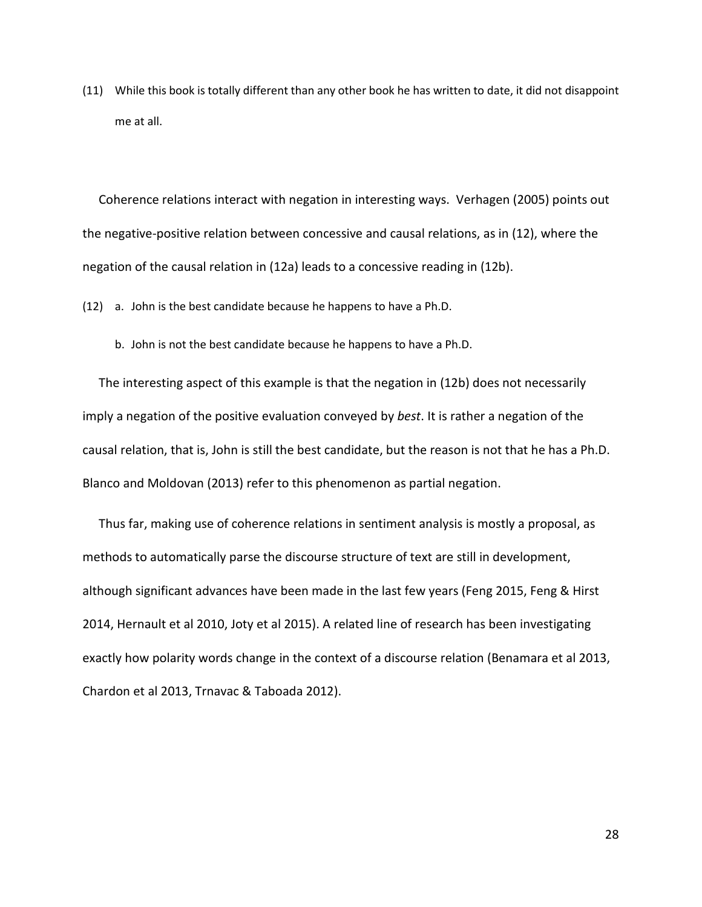<span id="page-27-0"></span>(11) While this book is totally different than any other book he has written to date, it did not disappoint me at all.

Coherence relations interact with negation in interesting ways. Verhagen (2005) points out the negative-positive relation between concessive and causal relations, as in [\(12\)](#page-27-1), where the negation of the causal relation in [\(12a](#page-27-1)) leads to a concessive reading in [\(12b](#page-27-1)).

<span id="page-27-1"></span>(12) a. John is the best candidate because he happens to have a Ph.D.

b. John is not the best candidate because he happens to have a Ph.D.

The interesting aspect of this example is that the negation in [\(12b](#page-27-1)) does not necessarily imply a negation of the positive evaluation conveyed by *best*. It is rather a negation of the causal relation, that is, John is still the best candidate, but the reason is not that he has a Ph.D. Blanco and Moldovan (2013) refer to this phenomenon as partial negation.

Thus far, making use of coherence relations in sentiment analysis is mostly a proposal, as methods to automatically parse the discourse structure of text are still in development, although significant advances have been made in the last few years (Feng 2015, Feng & Hirst 2014, Hernault et al 2010, Joty et al 2015). A related line of research has been investigating exactly how polarity words change in the context of a discourse relation (Benamara et al 2013, Chardon et al 2013, Trnavac & Taboada 2012).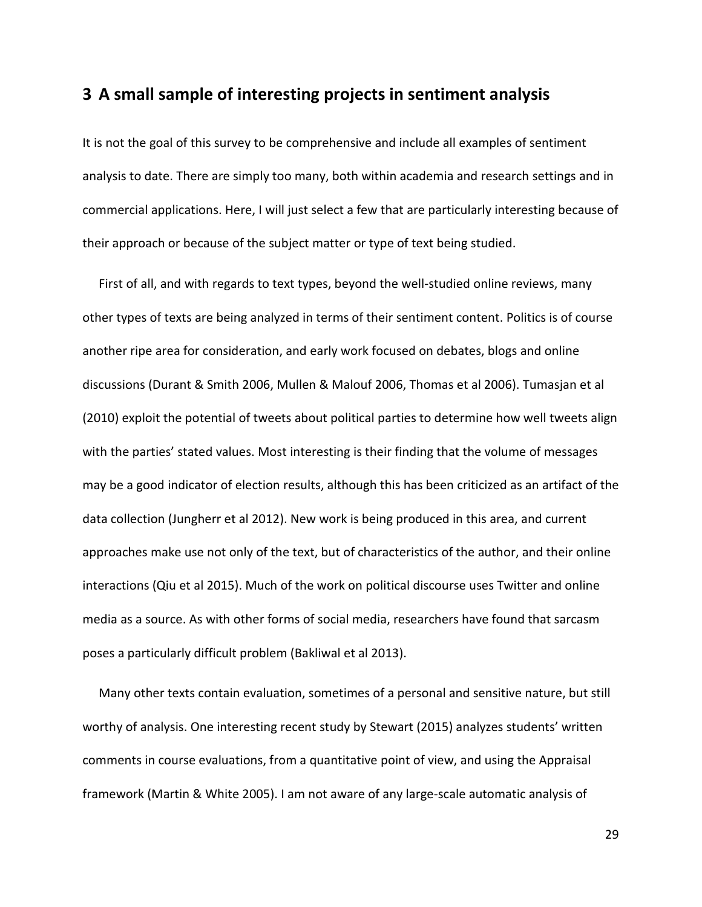# <span id="page-28-0"></span>**3 A small sample of interesting projects in sentiment analysis**

It is not the goal of this survey to be comprehensive and include all examples of sentiment analysis to date. There are simply too many, both within academia and research settings and in commercial applications. Here, I will just select a few that are particularly interesting because of their approach or because of the subject matter or type of text being studied.

First of all, and with regards to text types, beyond the well-studied online reviews, many other types of texts are being analyzed in terms of their sentiment content. Politics is of course another ripe area for consideration, and early work focused on debates, blogs and online discussions (Durant & Smith 2006, Mullen & Malouf 2006, Thomas et al 2006). Tumasjan et al (2010) exploit the potential of tweets about political parties to determine how well tweets align with the parties' stated values. Most interesting is their finding that the volume of messages may be a good indicator of election results, although this has been criticized as an artifact of the data collection (Jungherr et al 2012). New work is being produced in this area, and current approaches make use not only of the text, but of characteristics of the author, and their online interactions (Qiu et al 2015). Much of the work on political discourse uses Twitter and online media as a source. As with other forms of social media, researchers have found that sarcasm poses a particularly difficult problem (Bakliwal et al 2013).

Many other texts contain evaluation, sometimes of a personal and sensitive nature, but still worthy of analysis. One interesting recent study by Stewart (2015) analyzes students' written comments in course evaluations, from a quantitative point of view, and using the Appraisal framework (Martin & White 2005). I am not aware of any large-scale automatic analysis of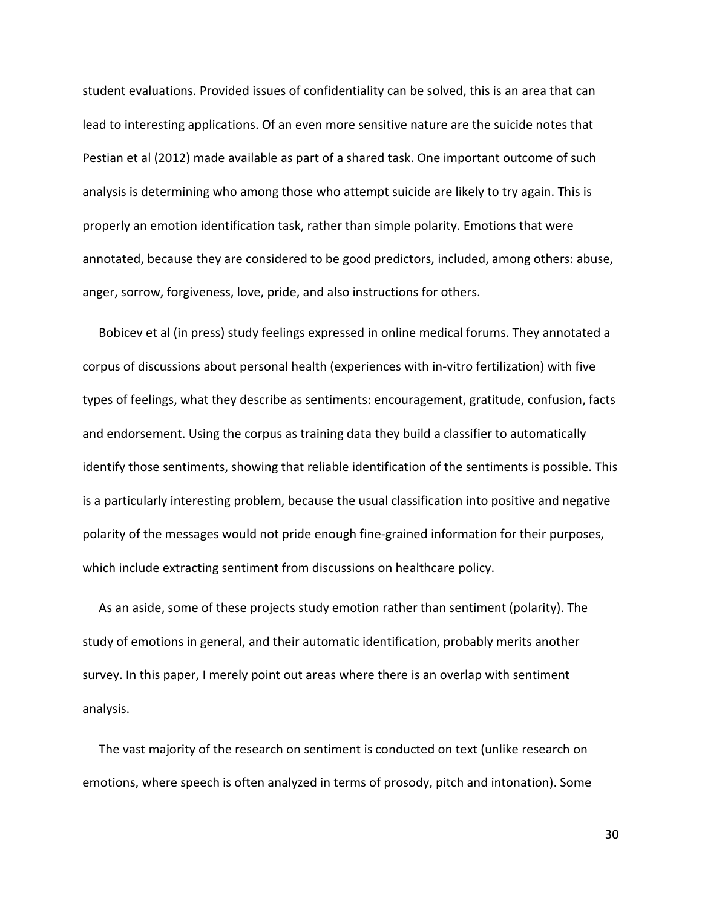student evaluations. Provided issues of confidentiality can be solved, this is an area that can lead to interesting applications. Of an even more sensitive nature are the suicide notes that Pestian et al (2012) made available as part of a shared task. One important outcome of such analysis is determining who among those who attempt suicide are likely to try again. This is properly an emotion identification task, rather than simple polarity. Emotions that were annotated, because they are considered to be good predictors, included, among others: abuse, anger, sorrow, forgiveness, love, pride, and also instructions for others.

Bobicev et al (in press) study feelings expressed in online medical forums. They annotated a corpus of discussions about personal health (experiences with in-vitro fertilization) with five types of feelings, what they describe as sentiments: encouragement, gratitude, confusion, facts and endorsement. Using the corpus as training data they build a classifier to automatically identify those sentiments, showing that reliable identification of the sentiments is possible. This is a particularly interesting problem, because the usual classification into positive and negative polarity of the messages would not pride enough fine-grained information for their purposes, which include extracting sentiment from discussions on healthcare policy.

As an aside, some of these projects study emotion rather than sentiment (polarity). The study of emotions in general, and their automatic identification, probably merits another survey. In this paper, I merely point out areas where there is an overlap with sentiment analysis.

The vast majority of the research on sentiment is conducted on text (unlike research on emotions, where speech is often analyzed in terms of prosody, pitch and intonation). Some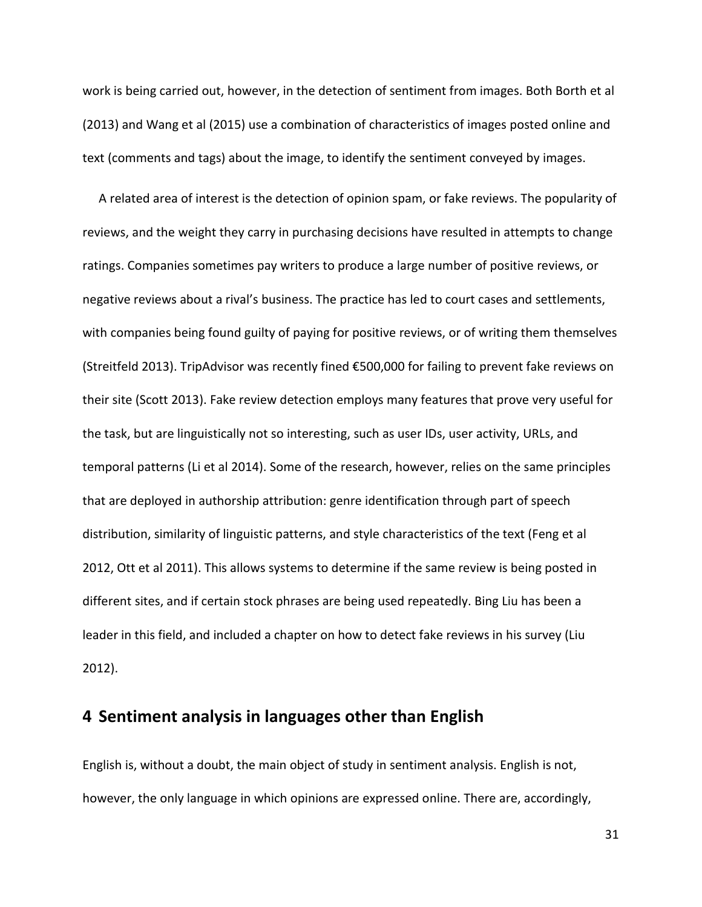work is being carried out, however, in the detection of sentiment from images. Both Borth et al (2013) and Wang et al (2015) use a combination of characteristics of images posted online and text (comments and tags) about the image, to identify the sentiment conveyed by images.

A related area of interest is the detection of opinion spam, or fake reviews. The popularity of reviews, and the weight they carry in purchasing decisions have resulted in attempts to change ratings. Companies sometimes pay writers to produce a large number of positive reviews, or negative reviews about a rival's business. The practice has led to court cases and settlements, with companies being found guilty of paying for positive reviews, or of writing them themselves (Streitfeld 2013). TripAdvisor was recently fined €500,000 for failing to prevent fake reviews on their site (Scott 2013). Fake review detection employs many features that prove very useful for the task, but are linguistically not so interesting, such as user IDs, user activity, URLs, and temporal patterns (Li et al 2014). Some of the research, however, relies on the same principles that are deployed in authorship attribution: genre identification through part of speech distribution, similarity of linguistic patterns, and style characteristics of the text (Feng et al 2012, Ott et al 2011). This allows systems to determine if the same review is being posted in different sites, and if certain stock phrases are being used repeatedly. Bing Liu has been a leader in this field, and included a chapter on how to detect fake reviews in his survey (Liu 2012).

## <span id="page-30-0"></span>**4 Sentiment analysis in languages other than English**

English is, without a doubt, the main object of study in sentiment analysis. English is not, however, the only language in which opinions are expressed online. There are, accordingly,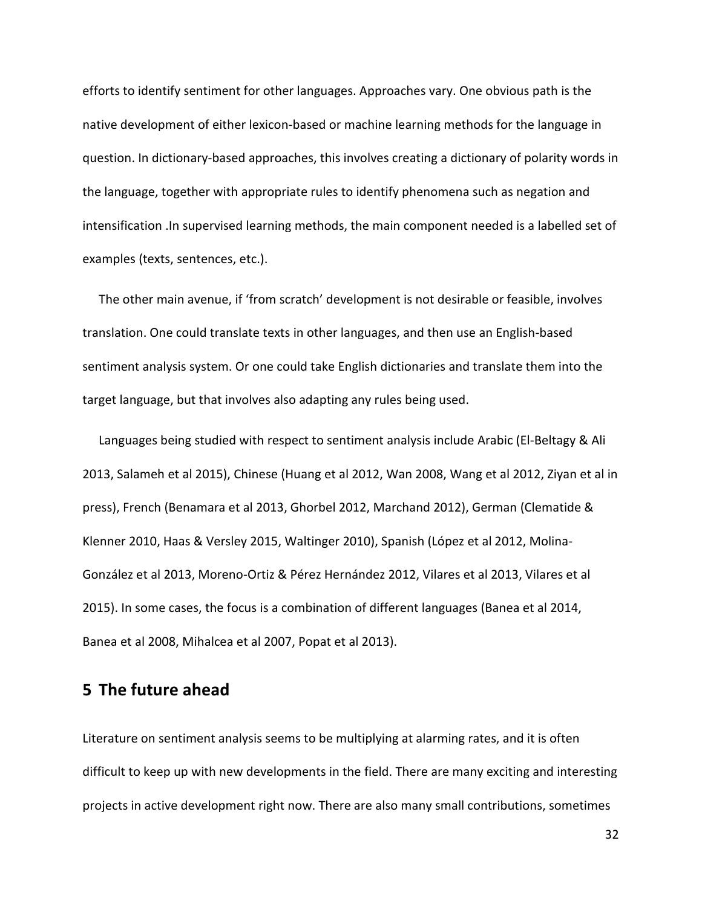efforts to identify sentiment for other languages. Approaches vary. One obvious path is the native development of either lexicon-based or machine learning methods for the language in question. In dictionary-based approaches, this involves creating a dictionary of polarity words in the language, together with appropriate rules to identify phenomena such as negation and intensification .In supervised learning methods, the main component needed is a labelled set of examples (texts, sentences, etc.).

The other main avenue, if 'from scratch' development is not desirable or feasible, involves translation. One could translate texts in other languages, and then use an English-based sentiment analysis system. Or one could take English dictionaries and translate them into the target language, but that involves also adapting any rules being used.

Languages being studied with respect to sentiment analysis include Arabic (El-Beltagy & Ali 2013, Salameh et al 2015), Chinese (Huang et al 2012, Wan 2008, Wang et al 2012, Ziyan et al in press), French (Benamara et al 2013, Ghorbel 2012, Marchand 2012), German (Clematide & Klenner 2010, Haas & Versley 2015, Waltinger 2010), Spanish (López et al 2012, Molina-González et al 2013, Moreno-Ortiz & Pérez Hernández 2012, Vilares et al 2013, Vilares et al 2015). In some cases, the focus is a combination of different languages (Banea et al 2014, Banea et al 2008, Mihalcea et al 2007, Popat et al 2013).

# <span id="page-31-0"></span>**5 The future ahead**

Literature on sentiment analysis seems to be multiplying at alarming rates, and it is often difficult to keep up with new developments in the field. There are many exciting and interesting projects in active development right now. There are also many small contributions, sometimes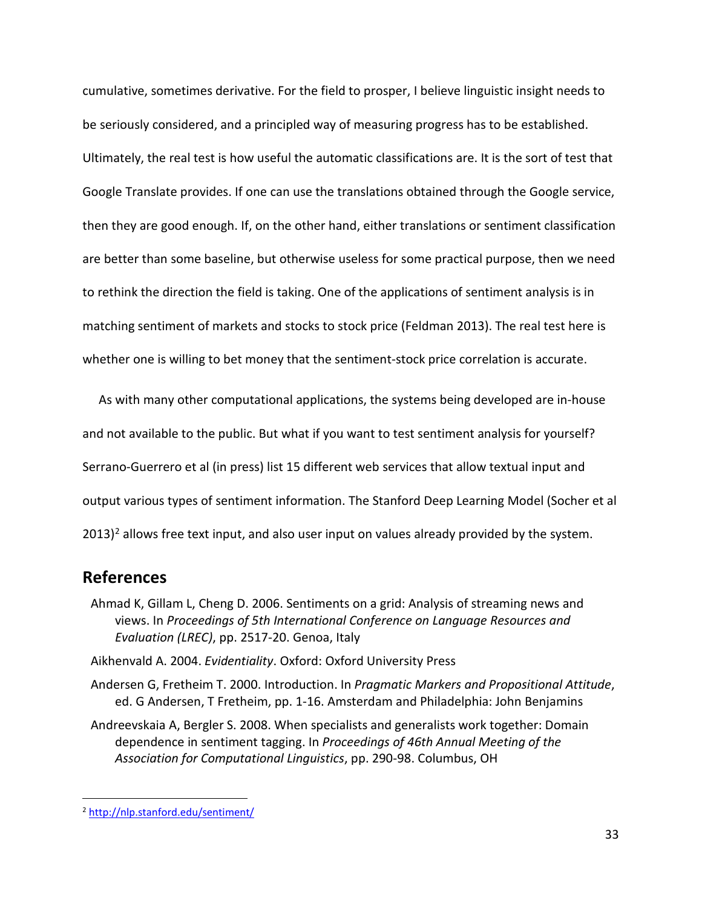cumulative, sometimes derivative. For the field to prosper, I believe linguistic insight needs to be seriously considered, and a principled way of measuring progress has to be established. Ultimately, the real test is how useful the automatic classifications are. It is the sort of test that Google Translate provides. If one can use the translations obtained through the Google service, then they are good enough. If, on the other hand, either translations or sentiment classification are better than some baseline, but otherwise useless for some practical purpose, then we need to rethink the direction the field is taking. One of the applications of sentiment analysis is in matching sentiment of markets and stocks to stock price (Feldman 2013). The real test here is whether one is willing to bet money that the sentiment-stock price correlation is accurate.

As with many other computational applications, the systems being developed are in-house and not available to the public. But what if you want to test sentiment analysis for yourself? Serrano-Guerrero et al (in press) list 15 different web services that allow textual input and output various types of sentiment information. The Stanford Deep Learning Model (Socher et al  $2013$ <sup>2</sup> allows free text input, and also user input on values already provided by the system.

## <span id="page-32-0"></span>**References**

- Ahmad K, Gillam L, Cheng D. 2006. Sentiments on a grid: Analysis of streaming news and views. In *Proceedings of 5th International Conference on Language Resources and Evaluation (LREC)*, pp. 2517-20. Genoa, Italy
- Aikhenvald A. 2004. *Evidentiality*. Oxford: Oxford University Press
- Andersen G, Fretheim T. 2000. Introduction. In *Pragmatic Markers and Propositional Attitude*, ed. G Andersen, T Fretheim, pp. 1-16. Amsterdam and Philadelphia: John Benjamins
- Andreevskaia A, Bergler S. 2008. When specialists and generalists work together: Domain dependence in sentiment tagging. In *Proceedings of 46th Annual Meeting of the Association for Computational Linguistics*, pp. 290-98. Columbus, OH

<span id="page-32-1"></span> <sup>2</sup> <http://nlp.stanford.edu/sentiment/>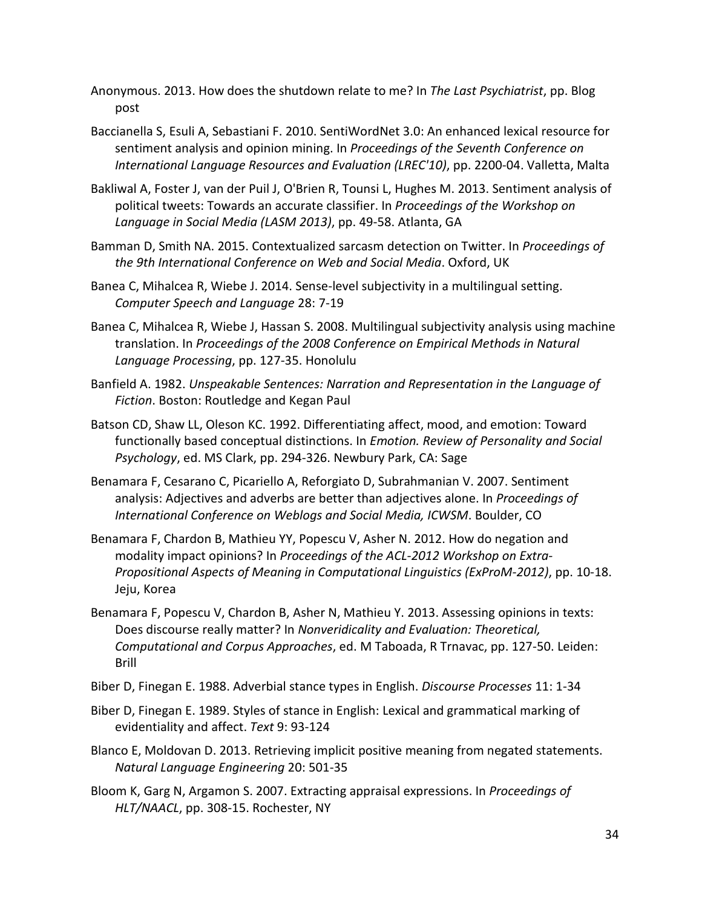- Anonymous. 2013. How does the shutdown relate to me? In *The Last Psychiatrist*, pp. Blog post
- Baccianella S, Esuli A, Sebastiani F. 2010. SentiWordNet 3.0: An enhanced lexical resource for sentiment analysis and opinion mining. In *Proceedings of the Seventh Conference on International Language Resources and Evaluation (LREC'10)*, pp. 2200-04. Valletta, Malta
- Bakliwal A, Foster J, van der Puil J, O'Brien R, Tounsi L, Hughes M. 2013. Sentiment analysis of political tweets: Towards an accurate classifier. In *Proceedings of the Workshop on Language in Social Media (LASM 2013)*, pp. 49-58. Atlanta, GA
- Bamman D, Smith NA. 2015. Contextualized sarcasm detection on Twitter. In *Proceedings of the 9th International Conference on Web and Social Media*. Oxford, UK
- Banea C, Mihalcea R, Wiebe J. 2014. Sense-level subjectivity in a multilingual setting. *Computer Speech and Language* 28: 7-19
- Banea C, Mihalcea R, Wiebe J, Hassan S. 2008. Multilingual subjectivity analysis using machine translation. In *Proceedings of the 2008 Conference on Empirical Methods in Natural Language Processing*, pp. 127-35. Honolulu
- Banfield A. 1982. *Unspeakable Sentences: Narration and Representation in the Language of Fiction*. Boston: Routledge and Kegan Paul
- Batson CD, Shaw LL, Oleson KC. 1992. Differentiating affect, mood, and emotion: Toward functionally based conceptual distinctions. In *Emotion. Review of Personality and Social Psychology*, ed. MS Clark, pp. 294-326. Newbury Park, CA: Sage
- Benamara F, Cesarano C, Picariello A, Reforgiato D, Subrahmanian V. 2007. Sentiment analysis: Adjectives and adverbs are better than adjectives alone. In *Proceedings of International Conference on Weblogs and Social Media, ICWSM*. Boulder, CO
- Benamara F, Chardon B, Mathieu YY, Popescu V, Asher N. 2012. How do negation and modality impact opinions? In *Proceedings of the ACL-2012 Workshop on Extra-Propositional Aspects of Meaning in Computational Linguistics (ExProM-2012)*, pp. 10-18. Jeju, Korea
- Benamara F, Popescu V, Chardon B, Asher N, Mathieu Y. 2013. Assessing opinions in texts: Does discourse really matter? In *Nonveridicality and Evaluation: Theoretical, Computational and Corpus Approaches*, ed. M Taboada, R Trnavac, pp. 127-50. Leiden: Brill
- Biber D, Finegan E. 1988. Adverbial stance types in English. *Discourse Processes* 11: 1-34
- Biber D, Finegan E. 1989. Styles of stance in English: Lexical and grammatical marking of evidentiality and affect. *Text* 9: 93-124
- Blanco E, Moldovan D. 2013. Retrieving implicit positive meaning from negated statements. *Natural Language Engineering* 20: 501-35
- Bloom K, Garg N, Argamon S. 2007. Extracting appraisal expressions. In *Proceedings of HLT/NAACL*, pp. 308-15. Rochester, NY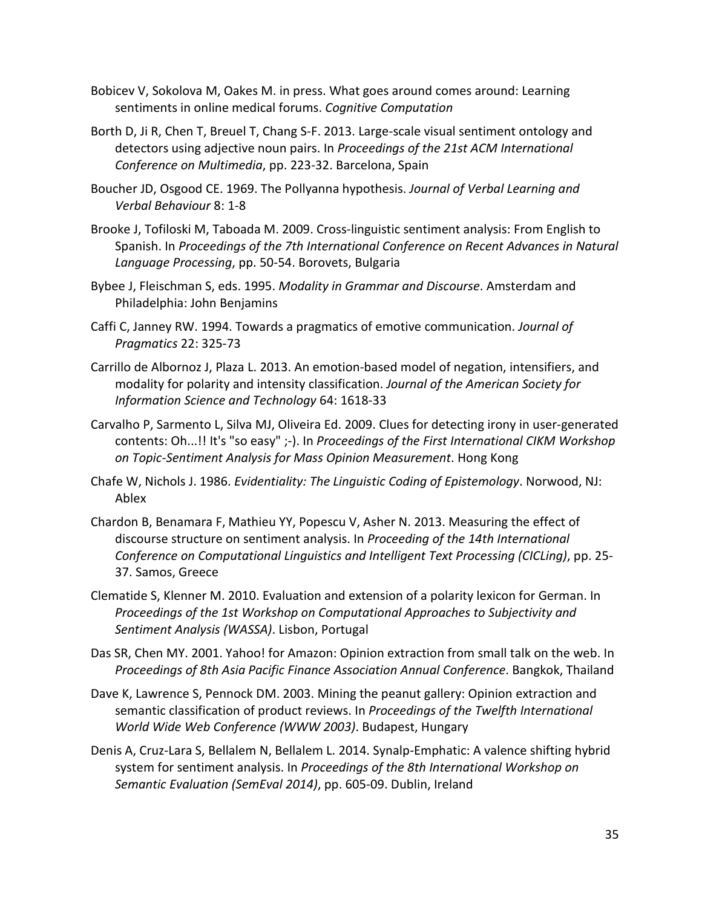- Bobicev V, Sokolova M, Oakes M. in press. What goes around comes around: Learning sentiments in online medical forums. *Cognitive Computation*
- Borth D, Ji R, Chen T, Breuel T, Chang S-F. 2013. Large-scale visual sentiment ontology and detectors using adjective noun pairs. In *Proceedings of the 21st ACM International Conference on Multimedia*, pp. 223-32. Barcelona, Spain
- Boucher JD, Osgood CE. 1969. The Pollyanna hypothesis. *Journal of Verbal Learning and Verbal Behaviour* 8: 1-8
- Brooke J, Tofiloski M, Taboada M. 2009. Cross-linguistic sentiment analysis: From English to Spanish. In *Proceedings of the 7th International Conference on Recent Advances in Natural Language Processing*, pp. 50-54. Borovets, Bulgaria
- Bybee J, Fleischman S, eds. 1995. *Modality in Grammar and Discourse*. Amsterdam and Philadelphia: John Benjamins
- Caffi C, Janney RW. 1994. Towards a pragmatics of emotive communication. *Journal of Pragmatics* 22: 325-73
- Carrillo de Albornoz J, Plaza L. 2013. An emotion-based model of negation, intensifiers, and modality for polarity and intensity classification. *Journal of the American Society for Information Science and Technology* 64: 1618-33
- Carvalho P, Sarmento L, Silva MJ, Oliveira Ed. 2009. Clues for detecting irony in user-generated contents: Oh...!! It's "so easy" ;-). In *Proceedings of the First International CIKM Workshop on Topic-Sentiment Analysis for Mass Opinion Measurement*. Hong Kong
- Chafe W, Nichols J. 1986. *Evidentiality: The Linguistic Coding of Epistemology*. Norwood, NJ: Ablex
- Chardon B, Benamara F, Mathieu YY, Popescu V, Asher N. 2013. Measuring the effect of discourse structure on sentiment analysis. In *Proceeding of the 14th International Conference on Computational Linguistics and Intelligent Text Processing (CICLing)*, pp. 25- 37. Samos, Greece
- Clematide S, Klenner M. 2010. Evaluation and extension of a polarity lexicon for German. In *Proceedings of the 1st Workshop on Computational Approaches to Subjectivity and Sentiment Analysis (WASSA)*. Lisbon, Portugal
- Das SR, Chen MY. 2001. Yahoo! for Amazon: Opinion extraction from small talk on the web. In *Proceedings of 8th Asia Pacific Finance Association Annual Conference*. Bangkok, Thailand
- Dave K, Lawrence S, Pennock DM. 2003. Mining the peanut gallery: Opinion extraction and semantic classification of product reviews. In *Proceedings of the Twelfth International World Wide Web Conference (WWW 2003)*. Budapest, Hungary
- Denis A, Cruz-Lara S, Bellalem N, Bellalem L. 2014. Synalp-Emphatic: A valence shifting hybrid system for sentiment analysis. In *Proceedings of the 8th International Workshop on Semantic Evaluation (SemEval 2014)*, pp. 605-09. Dublin, Ireland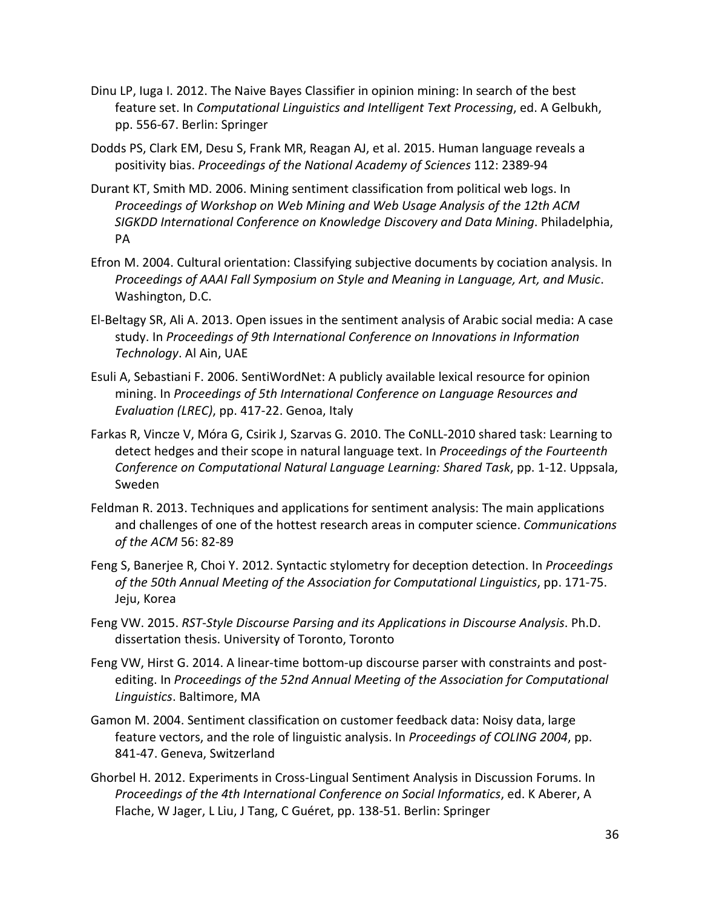- Dinu LP, Iuga I. 2012. The Naive Bayes Classifier in opinion mining: In search of the best feature set. In *Computational Linguistics and Intelligent Text Processing*, ed. A Gelbukh, pp. 556-67. Berlin: Springer
- Dodds PS, Clark EM, Desu S, Frank MR, Reagan AJ, et al. 2015. Human language reveals a positivity bias. *Proceedings of the National Academy of Sciences* 112: 2389-94
- Durant KT, Smith MD. 2006. Mining sentiment classification from political web logs. In *Proceedings of Workshop on Web Mining and Web Usage Analysis of the 12th ACM SIGKDD International Conference on Knowledge Discovery and Data Mining*. Philadelphia, PA
- Efron M. 2004. Cultural orientation: Classifying subjective documents by cociation analysis. In *Proceedings of AAAI Fall Symposium on Style and Meaning in Language, Art, and Music*. Washington, D.C.
- El-Beltagy SR, Ali A. 2013. Open issues in the sentiment analysis of Arabic social media: A case study. In *Proceedings of 9th International Conference on Innovations in Information Technology*. Al Ain, UAE
- Esuli A, Sebastiani F. 2006. SentiWordNet: A publicly available lexical resource for opinion mining. In *Proceedings of 5th International Conference on Language Resources and Evaluation (LREC)*, pp. 417-22. Genoa, Italy
- Farkas R, Vincze V, Móra G, Csirik J, Szarvas G. 2010. The CoNLL-2010 shared task: Learning to detect hedges and their scope in natural language text. In *Proceedings of the Fourteenth Conference on Computational Natural Language Learning: Shared Task*, pp. 1-12. Uppsala, Sweden
- Feldman R. 2013. Techniques and applications for sentiment analysis: The main applications and challenges of one of the hottest research areas in computer science. *Communications of the ACM* 56: 82-89
- Feng S, Banerjee R, Choi Y. 2012. Syntactic stylometry for deception detection. In *Proceedings of the 50th Annual Meeting of the Association for Computational Linguistics*, pp. 171-75. Jeju, Korea
- Feng VW. 2015. *RST-Style Discourse Parsing and its Applications in Discourse Analysis*. Ph.D. dissertation thesis. University of Toronto, Toronto
- Feng VW, Hirst G. 2014. A linear-time bottom-up discourse parser with constraints and postediting. In *Proceedings of the 52nd Annual Meeting of the Association for Computational Linguistics*. Baltimore, MA
- Gamon M. 2004. Sentiment classification on customer feedback data: Noisy data, large feature vectors, and the role of linguistic analysis. In *Proceedings of COLING 2004*, pp. 841-47. Geneva, Switzerland
- Ghorbel H. 2012. Experiments in Cross-Lingual Sentiment Analysis in Discussion Forums. In *Proceedings of the 4th International Conference on Social Informatics*, ed. K Aberer, A Flache, W Jager, L Liu, J Tang, C Guéret, pp. 138-51. Berlin: Springer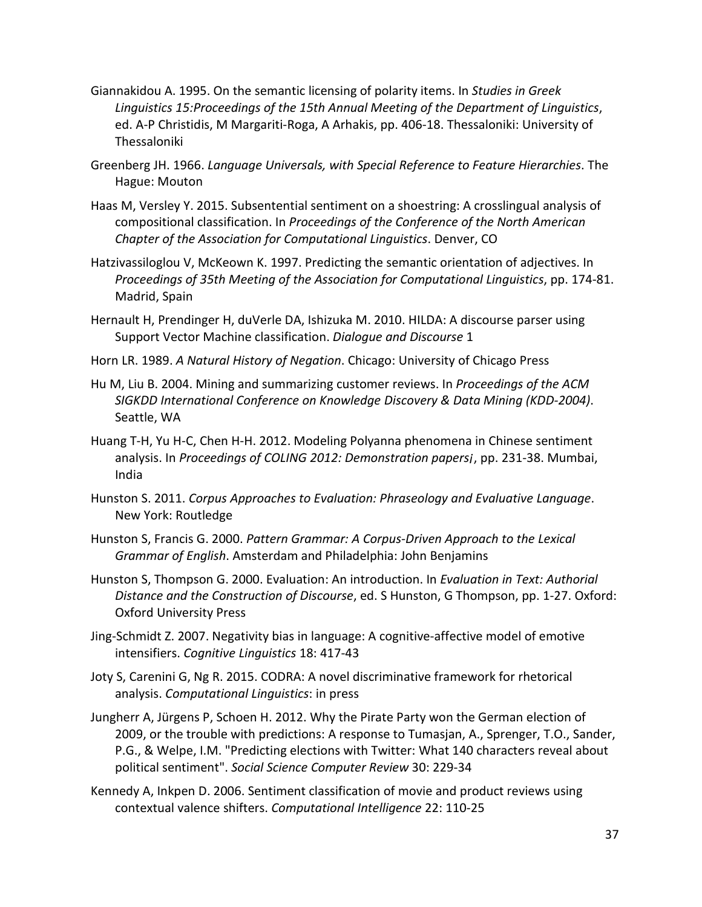- Giannakidou A. 1995. On the semantic licensing of polarity items. In *Studies in Greek Linguistics 15:Proceedings of the 15th Annual Meeting of the Department of Linguistics*, ed. A-P Christidis, M Margariti-Roga, A Arhakis, pp. 406-18. Thessaloniki: University of Thessaloniki
- Greenberg JH. 1966. *Language Universals, with Special Reference to Feature Hierarchies*. The Hague: Mouton
- Haas M, Versley Y. 2015. Subsentential sentiment on a shoestring: A crosslingual analysis of compositional classification. In *Proceedings of the Conference of the North American Chapter of the Association for Computational Linguistics*. Denver, CO
- Hatzivassiloglou V, McKeown K. 1997. Predicting the semantic orientation of adjectives. In *Proceedings of 35th Meeting of the Association for Computational Linguistics*, pp. 174-81. Madrid, Spain
- Hernault H, Prendinger H, duVerle DA, Ishizuka M. 2010. HILDA: A discourse parser using Support Vector Machine classification. *Dialogue and Discourse* 1
- Horn LR. 1989. *A Natural History of Negation*. Chicago: University of Chicago Press
- Hu M, Liu B. 2004. Mining and summarizing customer reviews. In *Proceedings of the ACM SIGKDD International Conference on Knowledge Discovery & Data Mining (KDD-2004)*. Seattle, WA
- Huang T-H, Yu H-C, Chen H-H. 2012. Modeling Polyanna phenomena in Chinese sentiment analysis. In *Proceedings of COLING 2012: Demonstration papers¡*, pp. 231-38. Mumbai, India
- Hunston S. 2011. *Corpus Approaches to Evaluation: Phraseology and Evaluative Language*. New York: Routledge
- Hunston S, Francis G. 2000. *Pattern Grammar: A Corpus-Driven Approach to the Lexical Grammar of English*. Amsterdam and Philadelphia: John Benjamins
- Hunston S, Thompson G. 2000. Evaluation: An introduction. In *Evaluation in Text: Authorial Distance and the Construction of Discourse*, ed. S Hunston, G Thompson, pp. 1-27. Oxford: Oxford University Press
- Jing-Schmidt Z. 2007. Negativity bias in language: A cognitive-affective model of emotive intensifiers. *Cognitive Linguistics* 18: 417-43
- Joty S, Carenini G, Ng R. 2015. CODRA: A novel discriminative framework for rhetorical analysis. *Computational Linguistics*: in press
- Jungherr A, Jürgens P, Schoen H. 2012. Why the Pirate Party won the German election of 2009, or the trouble with predictions: A response to Tumasjan, A., Sprenger, T.O., Sander, P.G., & Welpe, I.M. "Predicting elections with Twitter: What 140 characters reveal about political sentiment". *Social Science Computer Review* 30: 229-34
- Kennedy A, Inkpen D. 2006. Sentiment classification of movie and product reviews using contextual valence shifters. *Computational Intelligence* 22: 110-25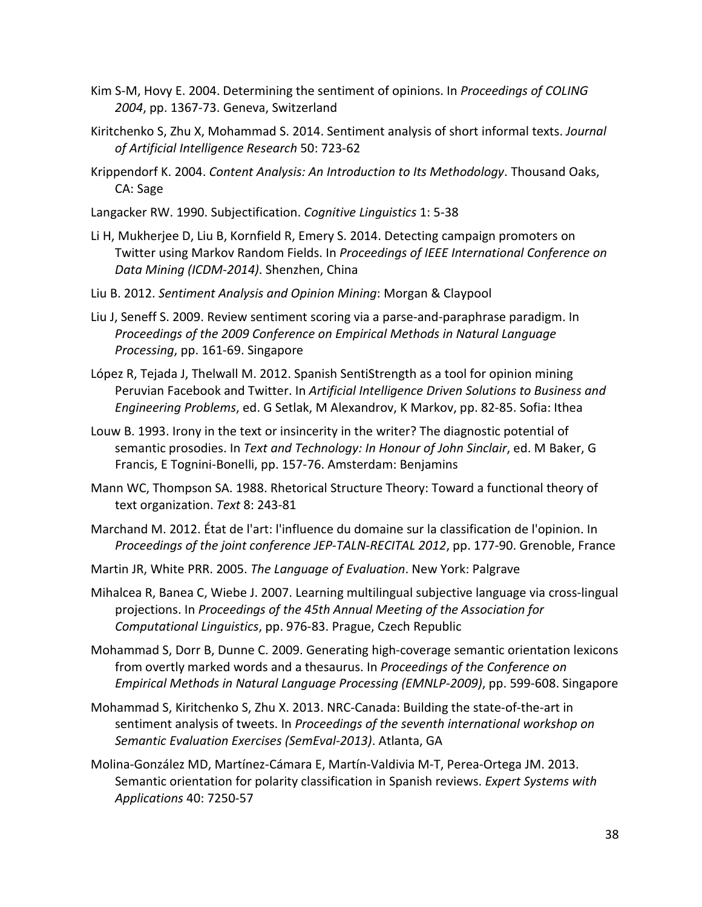- Kim S-M, Hovy E. 2004. Determining the sentiment of opinions. In *Proceedings of COLING 2004*, pp. 1367-73. Geneva, Switzerland
- Kiritchenko S, Zhu X, Mohammad S. 2014. Sentiment analysis of short informal texts. *Journal of Artificial Intelligence Research* 50: 723-62
- Krippendorf K. 2004. *Content Analysis: An Introduction to Its Methodology*. Thousand Oaks, CA: Sage
- Langacker RW. 1990. Subjectification. *Cognitive Linguistics* 1: 5-38
- Li H, Mukherjee D, Liu B, Kornfield R, Emery S. 2014. Detecting campaign promoters on Twitter using Markov Random Fields. In *Proceedings of IEEE International Conference on Data Mining (ICDM-2014)*. Shenzhen, China
- Liu B. 2012. *Sentiment Analysis and Opinion Mining*: Morgan & Claypool
- Liu J, Seneff S. 2009. Review sentiment scoring via a parse-and-paraphrase paradigm. In *Proceedings of the 2009 Conference on Empirical Methods in Natural Language Processing*, pp. 161-69. Singapore
- López R, Tejada J, Thelwall M. 2012. Spanish SentiStrength as a tool for opinion mining Peruvian Facebook and Twitter. In *Artificial Intelligence Driven Solutions to Business and Engineering Problems*, ed. G Setlak, M Alexandrov, K Markov, pp. 82-85. Sofia: Ithea
- Louw B. 1993. Irony in the text or insincerity in the writer? The diagnostic potential of semantic prosodies. In *Text and Technology: In Honour of John Sinclair*, ed. M Baker, G Francis, E Tognini-Bonelli, pp. 157-76. Amsterdam: Benjamins
- Mann WC, Thompson SA. 1988. Rhetorical Structure Theory: Toward a functional theory of text organization. *Text* 8: 243-81
- Marchand M. 2012. État de l'art: l'influence du domaine sur la classification de l'opinion. In *Proceedings of the joint conference JEP-TALN-RECITAL 2012*, pp. 177-90. Grenoble, France
- Martin JR, White PRR. 2005. *The Language of Evaluation*. New York: Palgrave
- Mihalcea R, Banea C, Wiebe J. 2007. Learning multilingual subjective language via cross-lingual projections. In *Proceedings of the 45th Annual Meeting of the Association for Computational Linguistics*, pp. 976-83. Prague, Czech Republic
- Mohammad S, Dorr B, Dunne C. 2009. Generating high-coverage semantic orientation lexicons from overtly marked words and a thesaurus. In *Proceedings of the Conference on Empirical Methods in Natural Language Processing (EMNLP-2009)*, pp. 599-608. Singapore
- Mohammad S, Kiritchenko S, Zhu X. 2013. NRC-Canada: Building the state-of-the-art in sentiment analysis of tweets. In *Proceedings of the seventh international workshop on Semantic Evaluation Exercises (SemEval-2013)*. Atlanta, GA
- Molina-González MD, Martínez-Cámara E, Martín-Valdivia M-T, Perea-Ortega JM. 2013. Semantic orientation for polarity classification in Spanish reviews. *Expert Systems with Applications* 40: 7250-57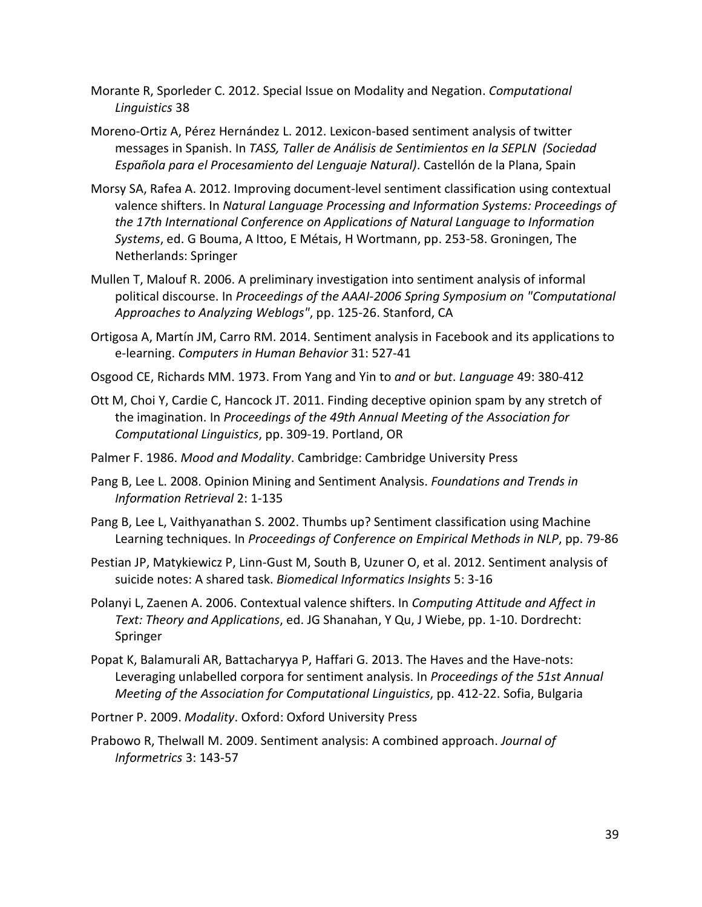Morante R, Sporleder C. 2012. Special Issue on Modality and Negation. *Computational Linguistics* 38

- Moreno-Ortiz A, Pérez Hernández L. 2012. Lexicon-based sentiment analysis of twitter messages in Spanish. In *TASS, Taller de Análisis de Sentimientos en la SEPLN (Sociedad Española para el Procesamiento del Lenguaje Natural)*. Castellón de la Plana, Spain
- Morsy SA, Rafea A. 2012. Improving document-level sentiment classification using contextual valence shifters. In *Natural Language Processing and Information Systems: Proceedings of the 17th International Conference on Applications of Natural Language to Information Systems*, ed. G Bouma, A Ittoo, E Métais, H Wortmann, pp. 253-58. Groningen, The Netherlands: Springer
- Mullen T, Malouf R. 2006. A preliminary investigation into sentiment analysis of informal political discourse. In *Proceedings of the AAAI-2006 Spring Symposium on "Computational Approaches to Analyzing Weblogs"*, pp. 125-26. Stanford, CA
- Ortigosa A, Martín JM, Carro RM. 2014. Sentiment analysis in Facebook and its applications to e-learning. *Computers in Human Behavior* 31: 527-41
- Osgood CE, Richards MM. 1973. From Yang and Yin to *and* or *but*. *Language* 49: 380-412
- Ott M, Choi Y, Cardie C, Hancock JT. 2011. Finding deceptive opinion spam by any stretch of the imagination. In *Proceedings of the 49th Annual Meeting of the Association for Computational Linguistics*, pp. 309-19. Portland, OR
- Palmer F. 1986. *Mood and Modality*. Cambridge: Cambridge University Press
- Pang B, Lee L. 2008. Opinion Mining and Sentiment Analysis. *Foundations and Trends in Information Retrieval* 2: 1-135
- Pang B, Lee L, Vaithyanathan S. 2002. Thumbs up? Sentiment classification using Machine Learning techniques. In *Proceedings of Conference on Empirical Methods in NLP*, pp. 79-86
- Pestian JP, Matykiewicz P, Linn-Gust M, South B, Uzuner O, et al. 2012. Sentiment analysis of suicide notes: A shared task. *Biomedical Informatics Insights* 5: 3-16
- Polanyi L, Zaenen A. 2006. Contextual valence shifters. In *Computing Attitude and Affect in Text: Theory and Applications*, ed. JG Shanahan, Y Qu, J Wiebe, pp. 1-10. Dordrecht: Springer
- Popat K, Balamurali AR, Battacharyya P, Haffari G. 2013. The Haves and the Have-nots: Leveraging unlabelled corpora for sentiment analysis. In *Proceedings of the 51st Annual Meeting of the Association for Computational Linguistics*, pp. 412-22. Sofia, Bulgaria
- Portner P. 2009. *Modality*. Oxford: Oxford University Press
- Prabowo R, Thelwall M. 2009. Sentiment analysis: A combined approach. *Journal of Informetrics* 3: 143-57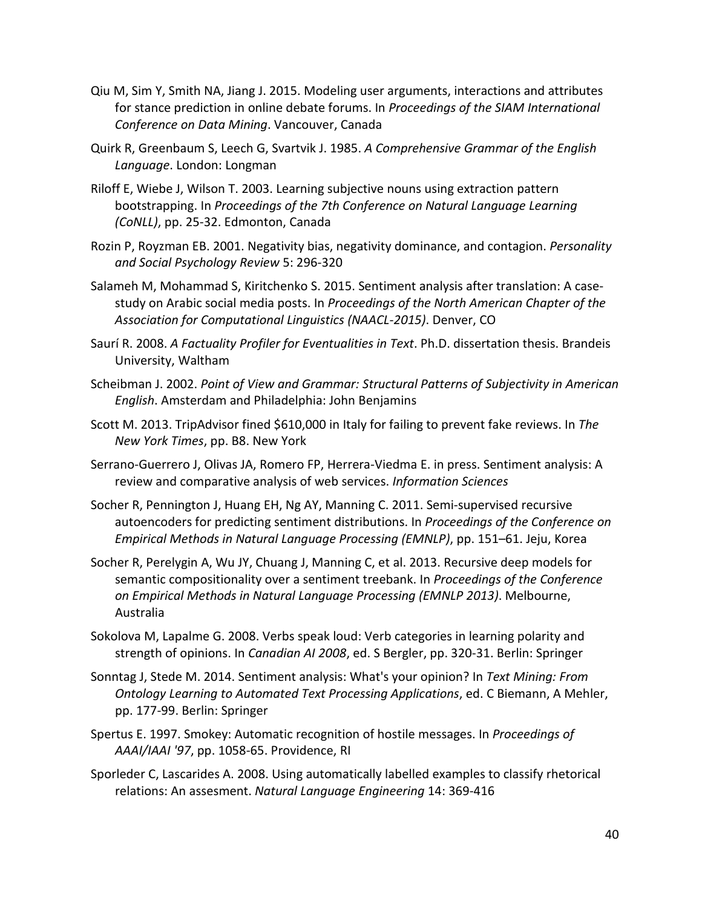- Qiu M, Sim Y, Smith NA, Jiang J. 2015. Modeling user arguments, interactions and attributes for stance prediction in online debate forums. In *Proceedings of the SIAM International Conference on Data Mining*. Vancouver, Canada
- Quirk R, Greenbaum S, Leech G, Svartvik J. 1985. *A Comprehensive Grammar of the English Language*. London: Longman
- Riloff E, Wiebe J, Wilson T. 2003. Learning subjective nouns using extraction pattern bootstrapping. In *Proceedings of the 7th Conference on Natural Language Learning (CoNLL)*, pp. 25-32. Edmonton, Canada
- Rozin P, Royzman EB. 2001. Negativity bias, negativity dominance, and contagion. *Personality and Social Psychology Review* 5: 296-320
- Salameh M, Mohammad S, Kiritchenko S. 2015. Sentiment analysis after translation: A casestudy on Arabic social media posts. In *Proceedings of the North American Chapter of the Association for Computational Linguistics (NAACL-2015)*. Denver, CO
- Saurí R. 2008. *A Factuality Profiler for Eventualities in Text*. Ph.D. dissertation thesis. Brandeis University, Waltham
- Scheibman J. 2002. *Point of View and Grammar: Structural Patterns of Subjectivity in American English*. Amsterdam and Philadelphia: John Benjamins
- Scott M. 2013. TripAdvisor fined \$610,000 in Italy for failing to prevent fake reviews. In *The New York Times*, pp. B8. New York
- Serrano-Guerrero J, Olivas JA, Romero FP, Herrera-Viedma E. in press. Sentiment analysis: A review and comparative analysis of web services. *Information Sciences*
- Socher R, Pennington J, Huang EH, Ng AY, Manning C. 2011. Semi-supervised recursive autoencoders for predicting sentiment distributions. In *Proceedings of the Conference on Empirical Methods in Natural Language Processing (EMNLP)*, pp. 151–61. Jeju, Korea
- Socher R, Perelygin A, Wu JY, Chuang J, Manning C, et al. 2013. Recursive deep models for semantic compositionality over a sentiment treebank. In *Proceedings of the Conference on Empirical Methods in Natural Language Processing (EMNLP 2013)*. Melbourne, Australia
- Sokolova M, Lapalme G. 2008. Verbs speak loud: Verb categories in learning polarity and strength of opinions. In *Canadian AI 2008*, ed. S Bergler, pp. 320-31. Berlin: Springer
- Sonntag J, Stede M. 2014. Sentiment analysis: What's your opinion? In *Text Mining: From Ontology Learning to Automated Text Processing Applications*, ed. C Biemann, A Mehler, pp. 177-99. Berlin: Springer
- Spertus E. 1997. Smokey: Automatic recognition of hostile messages. In *Proceedings of AAAI/IAAI '97*, pp. 1058-65. Providence, RI
- Sporleder C, Lascarides A. 2008. Using automatically labelled examples to classify rhetorical relations: An assesment. *Natural Language Engineering* 14: 369-416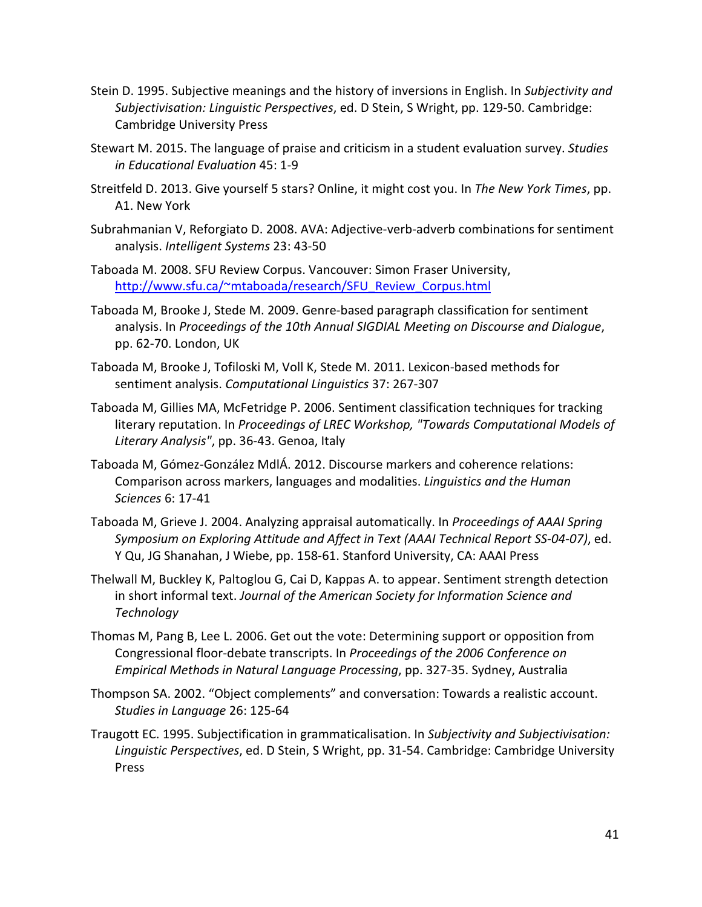- Stein D. 1995. Subjective meanings and the history of inversions in English. In *Subjectivity and Subjectivisation: Linguistic Perspectives*, ed. D Stein, S Wright, pp. 129-50. Cambridge: Cambridge University Press
- Stewart M. 2015. The language of praise and criticism in a student evaluation survey. *Studies in Educational Evaluation* 45: 1-9
- Streitfeld D. 2013. Give yourself 5 stars? Online, it might cost you. In *The New York Times*, pp. A1. New York
- Subrahmanian V, Reforgiato D. 2008. AVA: Adjective-verb-adverb combinations for sentiment analysis. *Intelligent Systems* 23: 43-50
- Taboada M. 2008. SFU Review Corpus. Vancouver: Simon Fraser University, [http://www.sfu.ca/~mtaboada/research/SFU\\_Review\\_Corpus.html](http://www.sfu.ca/%7Emtaboada/research/SFU_Review_Corpus.html)
- Taboada M, Brooke J, Stede M. 2009. Genre-based paragraph classification for sentiment analysis. In *Proceedings of the 10th Annual SIGDIAL Meeting on Discourse and Dialogue*, pp. 62-70. London, UK
- Taboada M, Brooke J, Tofiloski M, Voll K, Stede M. 2011. Lexicon-based methods for sentiment analysis. *Computational Linguistics* 37: 267-307
- Taboada M, Gillies MA, McFetridge P. 2006. Sentiment classification techniques for tracking literary reputation. In *Proceedings of LREC Workshop, "Towards Computational Models of Literary Analysis"*, pp. 36-43. Genoa, Italy
- Taboada M, Gómez-González MdlÁ. 2012. Discourse markers and coherence relations: Comparison across markers, languages and modalities. *Linguistics and the Human Sciences* 6: 17-41
- Taboada M, Grieve J. 2004. Analyzing appraisal automatically. In *Proceedings of AAAI Spring Symposium on Exploring Attitude and Affect in Text (AAAI Technical Report SS-04-07)*, ed. Y Qu, JG Shanahan, J Wiebe, pp. 158-61. Stanford University, CA: AAAI Press
- Thelwall M, Buckley K, Paltoglou G, Cai D, Kappas A. to appear. Sentiment strength detection in short informal text. *Journal of the American Society for Information Science and Technology*
- Thomas M, Pang B, Lee L. 2006. Get out the vote: Determining support or opposition from Congressional floor-debate transcripts. In *Proceedings of the 2006 Conference on Empirical Methods in Natural Language Processing*, pp. 327-35. Sydney, Australia
- Thompson SA. 2002. "Object complements" and conversation: Towards a realistic account. *Studies in Language* 26: 125-64
- Traugott EC. 1995. Subjectification in grammaticalisation. In *Subjectivity and Subjectivisation: Linguistic Perspectives*, ed. D Stein, S Wright, pp. 31-54. Cambridge: Cambridge University Press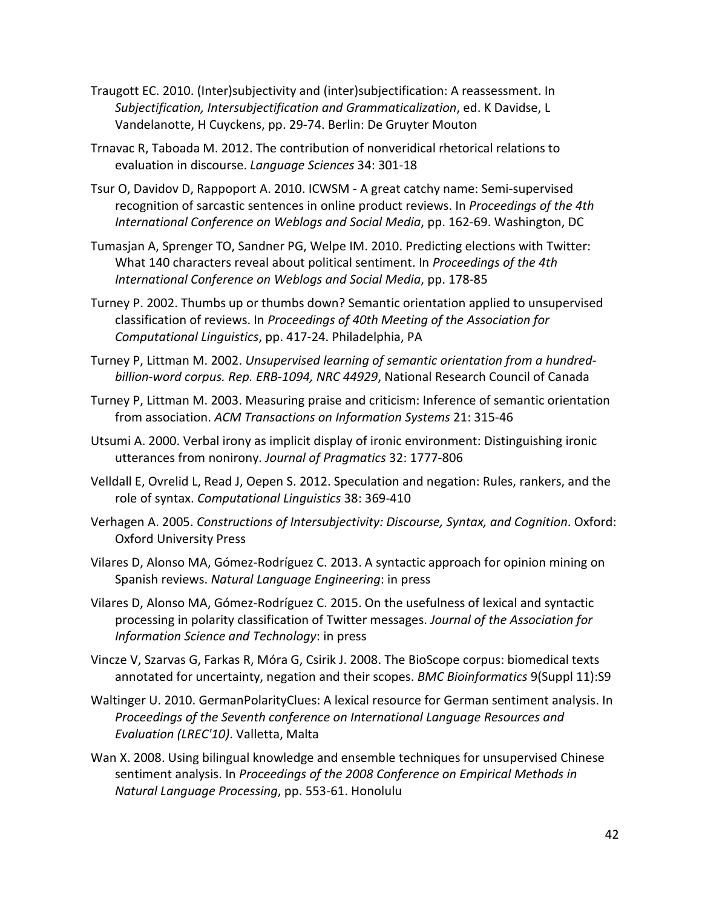- Traugott EC. 2010. (Inter)subjectivity and (inter)subjectification: A reassessment. In *Subjectification, Intersubjectification and Grammaticalization*, ed. K Davidse, L Vandelanotte, H Cuyckens, pp. 29-74. Berlin: De Gruyter Mouton
- Trnavac R, Taboada M. 2012. The contribution of nonveridical rhetorical relations to evaluation in discourse. *Language Sciences* 34: 301-18
- Tsur O, Davidov D, Rappoport A. 2010. ICWSM A great catchy name: Semi-supervised recognition of sarcastic sentences in online product reviews. In *Proceedings of the 4th International Conference on Weblogs and Social Media*, pp. 162-69. Washington, DC
- Tumasjan A, Sprenger TO, Sandner PG, Welpe IM. 2010. Predicting elections with Twitter: What 140 characters reveal about political sentiment. In *Proceedings of the 4th International Conference on Weblogs and Social Media*, pp. 178-85
- Turney P. 2002. Thumbs up or thumbs down? Semantic orientation applied to unsupervised classification of reviews. In *Proceedings of 40th Meeting of the Association for Computational Linguistics*, pp. 417-24. Philadelphia, PA
- Turney P, Littman M. 2002. *Unsupervised learning of semantic orientation from a hundredbillion-word corpus. Rep. ERB-1094, NRC 44929*, National Research Council of Canada
- Turney P, Littman M. 2003. Measuring praise and criticism: Inference of semantic orientation from association. *ACM Transactions on Information Systems* 21: 315-46
- Utsumi A. 2000. Verbal irony as implicit display of ironic environment: Distinguishing ironic utterances from nonirony. *Journal of Pragmatics* 32: 1777-806
- Velldall E, Ovrelid L, Read J, Oepen S. 2012. Speculation and negation: Rules, rankers, and the role of syntax. *Computational Linguistics* 38: 369-410
- Verhagen A. 2005. *Constructions of Intersubjectivity: Discourse, Syntax, and Cognition*. Oxford: Oxford University Press
- Vilares D, Alonso MA, Gómez-Rodríguez C. 2013. A syntactic approach for opinion mining on Spanish reviews. *Natural Language Engineering*: in press
- Vilares D, Alonso MA, Gómez-Rodríguez C. 2015. On the usefulness of lexical and syntactic processing in polarity classification of Twitter messages. *Journal of the Association for Information Science and Technology*: in press
- Vincze V, Szarvas G, Farkas R, Móra G, Csirik J. 2008. The BioScope corpus: biomedical texts annotated for uncertainty, negation and their scopes. *BMC Bioinformatics* 9(Suppl 11):S9
- Waltinger U. 2010. GermanPolarityClues: A lexical resource for German sentiment analysis. In *Proceedings of the Seventh conference on International Language Resources and Evaluation (LREC'10)*. Valletta, Malta
- Wan X. 2008. Using bilingual knowledge and ensemble techniques for unsupervised Chinese sentiment analysis. In *Proceedings of the 2008 Conference on Empirical Methods in Natural Language Processing*, pp. 553-61. Honolulu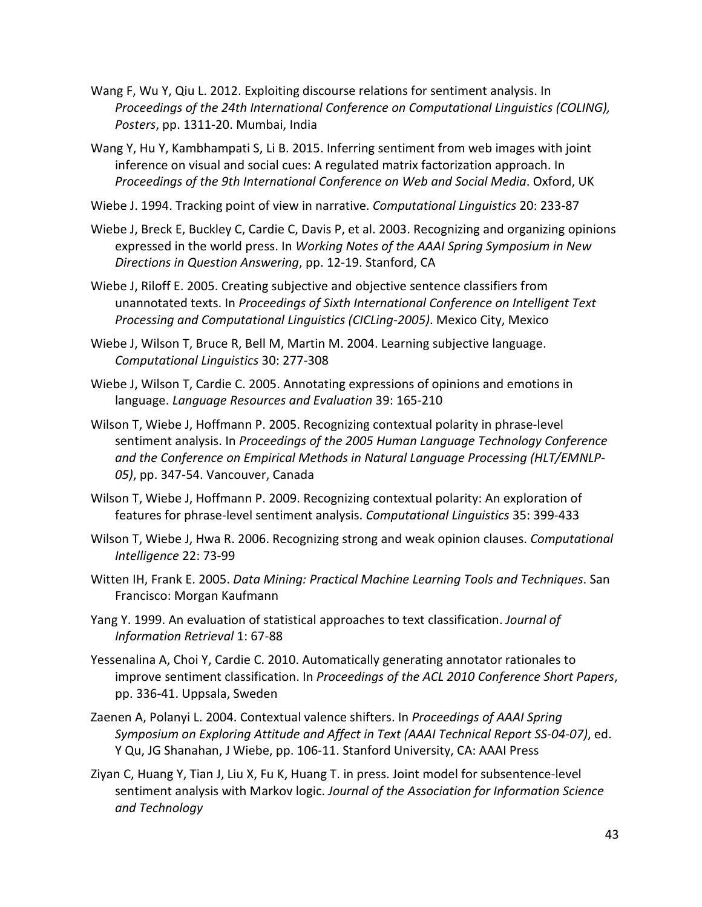- Wang F, Wu Y, Qiu L. 2012. Exploiting discourse relations for sentiment analysis. In *Proceedings of the 24th International Conference on Computational Linguistics (COLING), Posters*, pp. 1311-20. Mumbai, India
- Wang Y, Hu Y, Kambhampati S, Li B. 2015. Inferring sentiment from web images with joint inference on visual and social cues: A regulated matrix factorization approach. In *Proceedings of the 9th International Conference on Web and Social Media*. Oxford, UK
- Wiebe J. 1994. Tracking point of view in narrative. *Computational Linguistics* 20: 233-87
- Wiebe J, Breck E, Buckley C, Cardie C, Davis P, et al. 2003. Recognizing and organizing opinions expressed in the world press. In *Working Notes of the AAAI Spring Symposium in New Directions in Question Answering*, pp. 12-19. Stanford, CA
- Wiebe J, Riloff E. 2005. Creating subjective and objective sentence classifiers from unannotated texts. In *Proceedings of Sixth International Conference on Intelligent Text Processing and Computational Linguistics (CICLing-2005)*. Mexico City, Mexico
- Wiebe J, Wilson T, Bruce R, Bell M, Martin M. 2004. Learning subjective language. *Computational Linguistics* 30: 277-308
- Wiebe J, Wilson T, Cardie C. 2005. Annotating expressions of opinions and emotions in language. *Language Resources and Evaluation* 39: 165-210
- Wilson T, Wiebe J, Hoffmann P. 2005. Recognizing contextual polarity in phrase-level sentiment analysis. In *Proceedings of the 2005 Human Language Technology Conference and the Conference on Empirical Methods in Natural Language Processing (HLT/EMNLP-05)*, pp. 347-54. Vancouver, Canada
- Wilson T, Wiebe J, Hoffmann P. 2009. Recognizing contextual polarity: An exploration of features for phrase-level sentiment analysis. *Computational Linguistics* 35: 399-433
- Wilson T, Wiebe J, Hwa R. 2006. Recognizing strong and weak opinion clauses. *Computational Intelligence* 22: 73-99
- Witten IH, Frank E. 2005. *Data Mining: Practical Machine Learning Tools and Techniques*. San Francisco: Morgan Kaufmann
- Yang Y. 1999. An evaluation of statistical approaches to text classification. *Journal of Information Retrieval* 1: 67-88
- Yessenalina A, Choi Y, Cardie C. 2010. Automatically generating annotator rationales to improve sentiment classification. In *Proceedings of the ACL 2010 Conference Short Papers*, pp. 336-41. Uppsala, Sweden
- Zaenen A, Polanyi L. 2004. Contextual valence shifters. In *Proceedings of AAAI Spring Symposium on Exploring Attitude and Affect in Text (AAAI Technical Report SS-04-07)*, ed. Y Qu, JG Shanahan, J Wiebe, pp. 106-11. Stanford University, CA: AAAI Press
- Ziyan C, Huang Y, Tian J, Liu X, Fu K, Huang T. in press. Joint model for subsentence-level sentiment analysis with Markov logic. *Journal of the Association for Information Science and Technology*